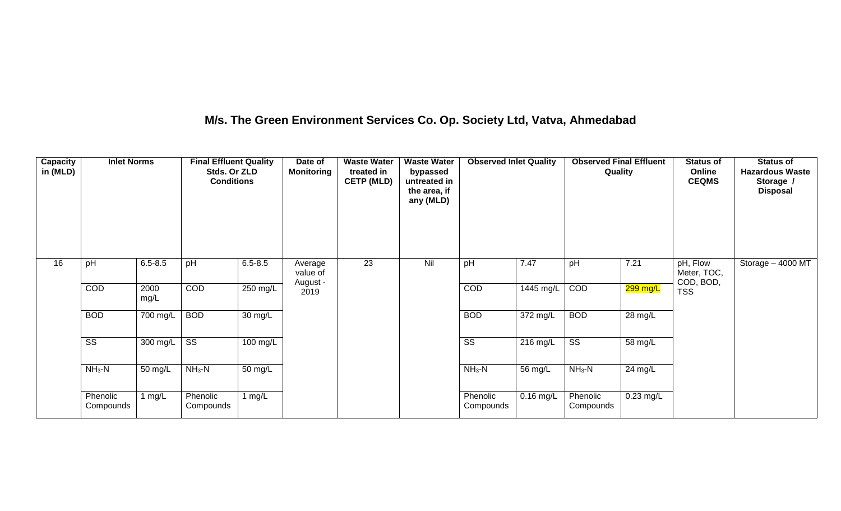## **M/s. The Green Environment Services Co. Op. Society Ltd, Vatva, Ahmedabad**

| Capacity<br>in (MLD) | <b>Inlet Norms</b>     |              | <b>Final Effluent Quality</b><br>Stds. Or ZLD<br><b>Conditions</b> |                    | Date of<br><b>Monitoring</b> | <b>Waste Water</b><br>treated in<br><b>CETP (MLD)</b> | <b>Waste Water</b><br>bypassed<br>untreated in<br>the area, if<br>any (MLD) | <b>Observed Inlet Quality</b> |                    | <b>Observed Final Effluent</b><br>Quality |             | <b>Status of</b><br>Online<br><b>CEQMS</b> | <b>Status of</b><br><b>Hazardous Waste</b><br>Storage /<br><b>Disposal</b> |
|----------------------|------------------------|--------------|--------------------------------------------------------------------|--------------------|------------------------------|-------------------------------------------------------|-----------------------------------------------------------------------------|-------------------------------|--------------------|-------------------------------------------|-------------|--------------------------------------------|----------------------------------------------------------------------------|
| 16                   | pH                     | $6.5 - 8.5$  | pH                                                                 | $6.5 - 8.5$        | Average<br>value of          | 23                                                    | Nil                                                                         | pH                            | 7.47               | pH                                        | 7.21        | pH, Flow<br>Meter, TOC,<br>COD, BOD,       | Storage - 4000 MT                                                          |
|                      | COD                    | 2000<br>mg/L | COD                                                                | 250 mg/L           | August -<br>2019             |                                                       |                                                                             | COD                           | 1445 mg/L          | COD                                       | 299 mg/L    | <b>TSS</b>                                 |                                                                            |
|                      | <b>BOD</b>             | 700 mg/L     | <b>BOD</b>                                                         | 30 mg/L            |                              |                                                       |                                                                             | <b>BOD</b>                    | $372 \text{ mg/L}$ | <b>BOD</b>                                | 28 mg/L     |                                            |                                                                            |
|                      | $\overline{\text{ss}}$ | 300 mg/L     | $\overline{\text{ss}}$                                             | $100 \text{ mg/L}$ |                              |                                                       |                                                                             | $\overline{\text{ss}}$        | $216$ mg/L         | $\overline{\text{ss}}$                    | 58 mg/L     |                                            |                                                                            |
|                      | $NH3-N$                | 50 mg/L      | $NH3-N$                                                            | 50 mg/L            |                              |                                                       |                                                                             | $NH3-N$                       | 56 mg/L            | $NH3-N$                                   | 24 mg/L     |                                            |                                                                            |
|                      | Phenolic<br>Compounds  | 1 $mg/L$     | Phenolic<br>Compounds                                              | 1 $mg/L$           |                              |                                                       |                                                                             | Phenolic<br>Compounds         | $0.16$ mg/L        | Phenolic<br>Compounds                     | $0.23$ mg/L |                                            |                                                                            |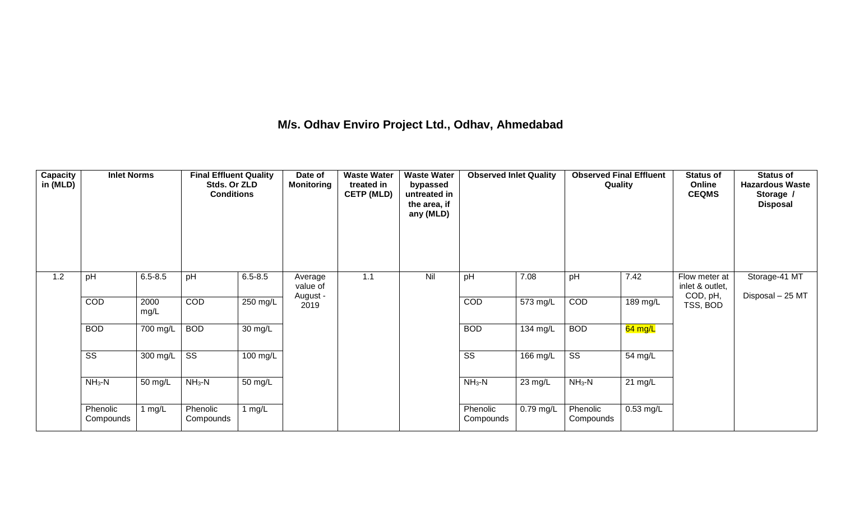## **M/s. Odhav Enviro Project Ltd., Odhav, Ahmedabad**

| Capacity<br>in (MLD) | <b>Inlet Norms</b>     |              | <b>Final Effluent Quality</b><br>Stds. Or ZLD<br><b>Conditions</b> |                    | Date of<br><b>Monitoring</b>    | <b>Waste Water</b><br>treated in<br><b>CETP (MLD)</b> | <b>Waste Water</b><br>bypassed<br>untreated in<br>the area, if<br>any (MLD) | <b>Observed Inlet Quality</b> |                       | <b>Observed Final Effluent</b><br>Quality |                   | <b>Status of</b><br>Online<br><b>CEQMS</b>   | <b>Status of</b><br><b>Hazardous Waste</b><br>Storage /<br><b>Disposal</b> |
|----------------------|------------------------|--------------|--------------------------------------------------------------------|--------------------|---------------------------------|-------------------------------------------------------|-----------------------------------------------------------------------------|-------------------------------|-----------------------|-------------------------------------------|-------------------|----------------------------------------------|----------------------------------------------------------------------------|
| 1.2                  | pH                     | $6.5 - 8.5$  | pH                                                                 | $6.5 - 8.5$        | Average<br>value of<br>August - | 1.1                                                   | Nil                                                                         | pH                            | 7.08                  | pH                                        | 7.42              | Flow meter at<br>inlet & outlet,<br>COD, pH, | Storage-41 MT<br>Disposal - 25 MT                                          |
|                      | COD                    | 2000<br>mg/L | <b>COD</b>                                                         | $250$ mg/L         | 2019                            |                                                       |                                                                             | COD                           | $\overline{573}$ mg/L | COD                                       | 189 mg/L          | TSS, BOD                                     |                                                                            |
|                      | <b>BOD</b>             | 700 mg/L     | <b>BOD</b>                                                         | 30 mg/L            |                                 |                                                       |                                                                             | <b>BOD</b>                    | 134 mg/L              | <b>BOD</b>                                | $64$ mg/L         |                                              |                                                                            |
|                      | $\overline{\text{ss}}$ | 300 mg/L     | $\overline{\text{ss}}$                                             | $100 \text{ mg/L}$ |                                 |                                                       |                                                                             | $\overline{\text{ss}}$        | $166$ mg/L            | $\overline{\text{ss}}$                    | 54 mg/L           |                                              |                                                                            |
|                      | $NH3-N$                | 50 mg/L      | $NH3-N$                                                            | 50 mg/L            |                                 |                                                       |                                                                             | $NH_3-N$                      | 23 mg/L               | $NH_3-N$                                  | $21 \text{ mg/L}$ |                                              |                                                                            |
|                      | Phenolic<br>Compounds  | 1 mg/L       | Phenolic<br>Compounds                                              | 1 $mg/L$           |                                 |                                                       |                                                                             | Phenolic<br>Compounds         | $0.79$ mg/L           | Phenolic<br>Compounds                     | $0.53$ mg/L       |                                              |                                                                            |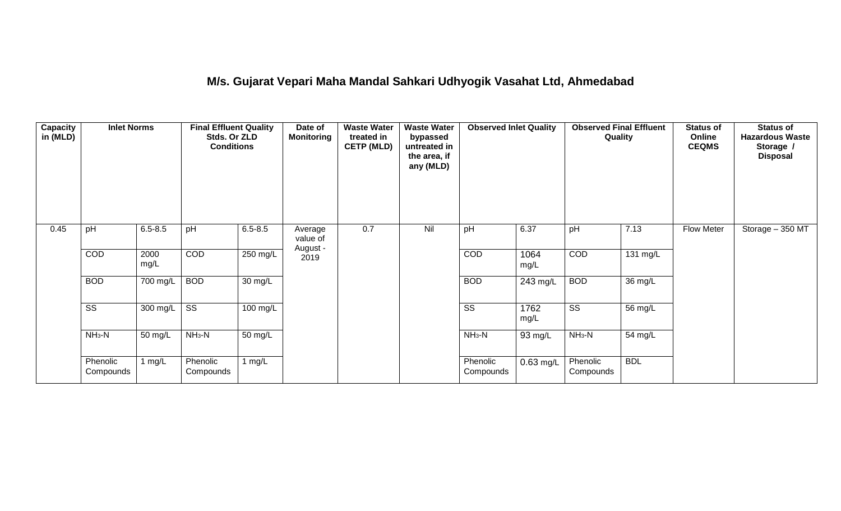## **M/s. Gujarat Vepari Maha Mandal Sahkari Udhyogik Vasahat Ltd, Ahmedabad**

| Capacity<br>in (MLD) | <b>Inlet Norms</b>     |              | <b>Final Effluent Quality</b><br>Stds. Or ZLD<br><b>Conditions</b> |                      | Date of<br><b>Monitoring</b>    | <b>Waste Water</b><br>treated in<br><b>CETP (MLD)</b> | <b>Waste Water</b><br>bypassed<br>untreated in<br>the area, if<br>any (MLD) | <b>Observed Inlet Quality</b> |              | <b>Observed Final Effluent</b><br>Quality |            | <b>Status of</b><br>Online<br><b>CEQMS</b> | <b>Status of</b><br><b>Hazardous Waste</b><br>Storage /<br><b>Disposal</b> |
|----------------------|------------------------|--------------|--------------------------------------------------------------------|----------------------|---------------------------------|-------------------------------------------------------|-----------------------------------------------------------------------------|-------------------------------|--------------|-------------------------------------------|------------|--------------------------------------------|----------------------------------------------------------------------------|
| 0.45                 | pH                     | $6.5 - 8.5$  | pH                                                                 | $6.5 - 8.5$          | Average<br>value of<br>August - | 0.7                                                   | Nil                                                                         | pH                            | 6.37         | pH                                        | 7.13       | <b>Flow Meter</b>                          | Storage - 350 MT                                                           |
|                      | COD                    | 2000<br>mg/L | COD                                                                | $250$ mg/L           | 2019                            |                                                       |                                                                             | COD                           | 1064<br>mg/L | COD                                       | 131 mg/L   |                                            |                                                                            |
|                      | <b>BOD</b>             | 700 mg/L     | <b>BOD</b>                                                         | 30 mg/L              |                                 |                                                       |                                                                             | <b>BOD</b>                    | 243 mg/L     | <b>BOD</b>                                | 36 mg/L    |                                            |                                                                            |
|                      | $\overline{\text{ss}}$ | 300 mg/L     | $\overline{\text{ss}}$                                             | $100 \text{ mg/L}$   |                                 |                                                       |                                                                             | $\overline{\text{ss}}$        | 1762<br>mg/L | $\overline{\text{ss}}$                    | 56 mg/L    |                                            |                                                                            |
|                      | $NH3-N$                | 50 mg/L      | $NH3-N$                                                            | $\overline{50}$ mg/L |                                 |                                                       |                                                                             | $NH3-N$                       | 93 mg/L      | $NH3-N$                                   | 54 mg/L    |                                            |                                                                            |
|                      | Phenolic<br>Compounds  | 1 mg/L       | Phenolic<br>Compounds                                              | 1 mg/L               |                                 |                                                       |                                                                             | Phenolic<br>Compounds         | $0.63$ mg/L  | Phenolic<br>Compounds                     | <b>BDL</b> |                                            |                                                                            |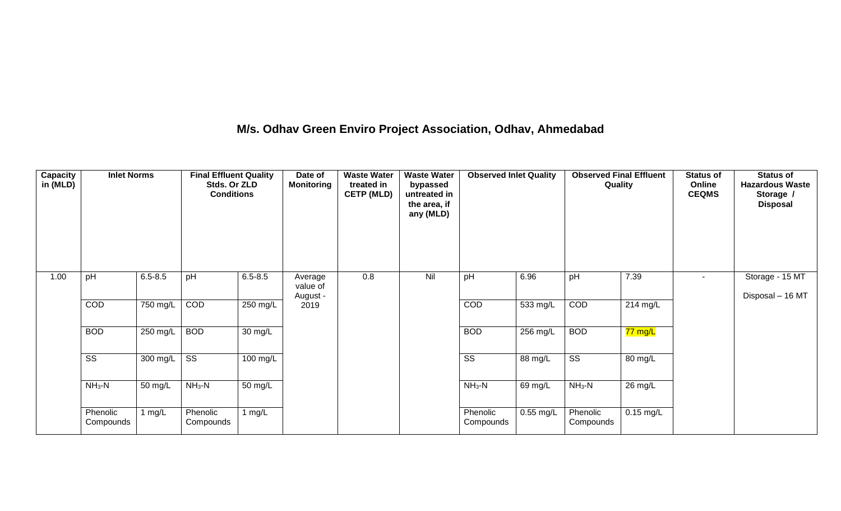## **M/s. Odhav Green Enviro Project Association, Odhav, Ahmedabad**

| Capacity<br>in (MLD) | <b>Inlet Norms</b>     |             | <b>Final Effluent Quality</b><br>Stds. Or ZLD<br><b>Conditions</b> |             | Date of<br><b>Monitoring</b> | <b>Waste Water</b><br>treated in<br><b>CETP (MLD)</b> | <b>Waste Water</b><br>bypassed<br>untreated in<br>the area, if<br>any (MLD) | <b>Observed Inlet Quality</b> |             | <b>Observed Final Effluent</b><br>Quality |             | <b>Status of</b><br>Online<br><b>CEQMS</b> | <b>Status of</b><br><b>Hazardous Waste</b><br>Storage /<br><b>Disposal</b> |
|----------------------|------------------------|-------------|--------------------------------------------------------------------|-------------|------------------------------|-------------------------------------------------------|-----------------------------------------------------------------------------|-------------------------------|-------------|-------------------------------------------|-------------|--------------------------------------------|----------------------------------------------------------------------------|
| 1.00                 | pH                     | $6.5 - 8.5$ | pH                                                                 | $6.5 - 8.5$ | Average<br>value of          | 0.8                                                   | Nil                                                                         | pH                            | 6.96        | pH                                        | 7.39        | $\overline{\phantom{a}}$                   | Storage - 15 MT                                                            |
|                      | COD                    | 750 mg/L    | COD                                                                | 250 mg/L    | August -<br>2019             |                                                       |                                                                             | <b>COD</b>                    | 533 mg/L    | <b>COD</b>                                | 214 mg/L    |                                            | Disposal - 16 MT                                                           |
|                      | <b>BOD</b>             | 250 mg/L    | <b>BOD</b>                                                         | 30 mg/L     |                              |                                                       |                                                                             | <b>BOD</b>                    | 256 mg/L    | <b>BOD</b>                                | 77 mg/L     |                                            |                                                                            |
|                      | $\overline{\text{ss}}$ | 300 mg/L    | $\overline{\text{ss}}$                                             | 100 mg/L    |                              |                                                       |                                                                             | SS                            | 88 mg/L     | $\overline{\text{ss}}$                    | 80 mg/L     |                                            |                                                                            |
|                      | $NH3-N$                | 50 mg/L     | $NH3-N$                                                            | 50 mg/L     |                              |                                                       |                                                                             | $NH3-N$                       | 69 mg/L     | $NH_3-N$                                  | 26 mg/L     |                                            |                                                                            |
|                      | Phenolic<br>Compounds  | 1 $mg/L$    | Phenolic<br>Compounds                                              | 1 $mg/L$    |                              |                                                       |                                                                             | Phenolic<br>Compounds         | $0.55$ mg/L | Phenolic<br>Compounds                     | $0.15$ mg/L |                                            |                                                                            |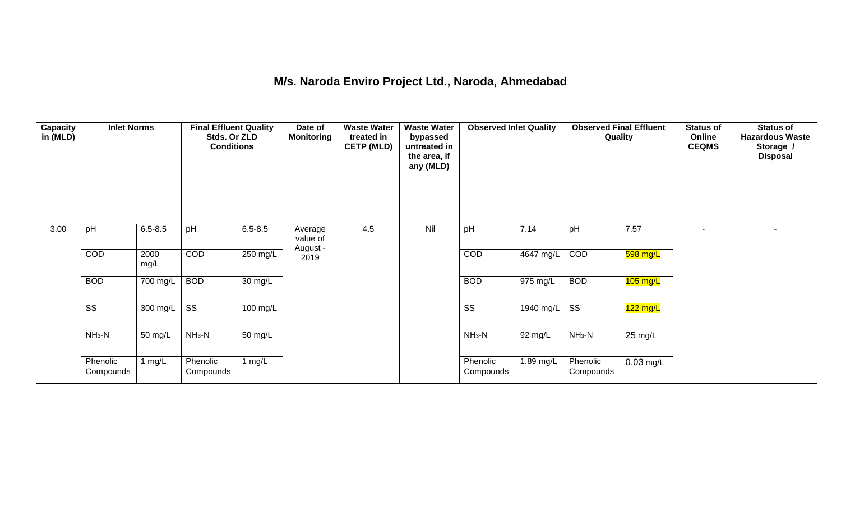### **M/s. Naroda Enviro Project Ltd., Naroda, Ahmedabad**

| <b>Capacity</b><br>in (MLD) | <b>Inlet Norms</b>     |              | <b>Final Effluent Quality</b><br>Stds. Or ZLD<br><b>Conditions</b> |                      | Date of<br><b>Monitoring</b> | <b>Waste Water</b><br>treated in<br><b>CETP (MLD)</b> | <b>Waste Water</b><br>bypassed<br>untreated in<br>the area, if<br>any (MLD) | <b>Observed Inlet Quality</b> |           | <b>Observed Final Effluent</b><br>Quality |                   | <b>Status of</b><br>Online<br><b>CEQMS</b> | <b>Status of</b><br><b>Hazardous Waste</b><br>Storage /<br><b>Disposal</b> |
|-----------------------------|------------------------|--------------|--------------------------------------------------------------------|----------------------|------------------------------|-------------------------------------------------------|-----------------------------------------------------------------------------|-------------------------------|-----------|-------------------------------------------|-------------------|--------------------------------------------|----------------------------------------------------------------------------|
| 3.00                        | pH                     | $6.5 - 8.5$  | pH                                                                 | $6.5 - 8.5$          | Average<br>value of          | 4.5                                                   | Nil                                                                         | pH                            | 7.14      | pH                                        | 7.57              | ٠                                          |                                                                            |
|                             | COD                    | 2000<br>mg/L | COD                                                                | 250 mg/L             | August -<br>2019             |                                                       |                                                                             | COD                           | 4647 mg/L | COD                                       | 598 mg/L          |                                            |                                                                            |
|                             | <b>BOD</b>             | 700 mg/L     | <b>BOD</b>                                                         | $\overline{30}$ mg/L |                              |                                                       |                                                                             | <b>BOD</b>                    | 975 mg/L  | <b>BOD</b>                                | $105$ mg/L        |                                            |                                                                            |
|                             | $\overline{\text{ss}}$ | 300 mg/L     | $\overline{\text{ss}}$                                             | $100 \text{ mg/L}$   |                              |                                                       |                                                                             | $\overline{\text{ss}}$        | 1940 mg/L | $\overline{\text{ss}}$                    | $122$ mg/L        |                                            |                                                                            |
|                             | $NH3-N$                | 50 mg/L      | $NH3-N$                                                            | 50 mg/L              |                              |                                                       |                                                                             | $NH3-N$                       | 92 mg/L   | $NH3-N$                                   | $25 \text{ mg/L}$ |                                            |                                                                            |
|                             | Phenolic<br>Compounds  | 1 mg/L       | Phenolic<br>Compounds                                              | 1 $mg/L$             |                              |                                                       |                                                                             | Phenolic<br>Compounds         | 1.89 mg/L | Phenolic<br>Compounds                     | $0.03$ mg/L       |                                            |                                                                            |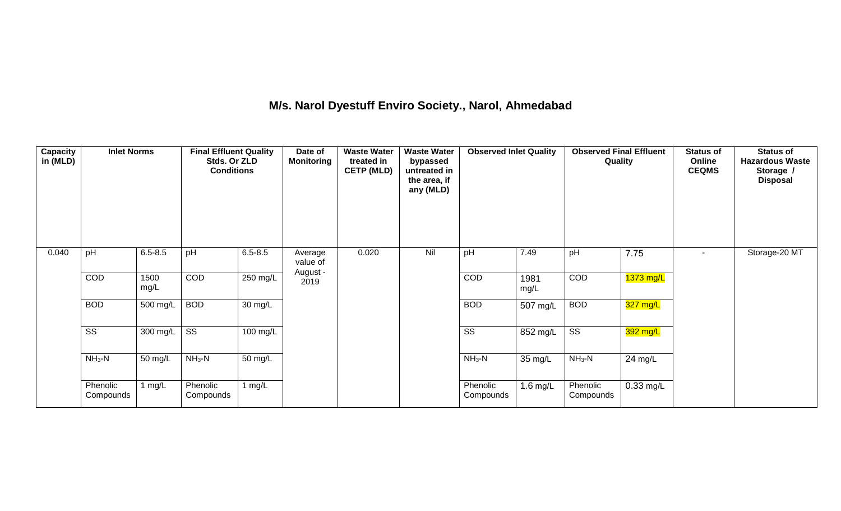## **M/s. Narol Dyestuff Enviro Society., Narol, Ahmedabad**

| <b>Capacity</b><br>in (MLD) | <b>Inlet Norms</b>     |                  | <b>Final Effluent Quality</b><br>Stds. Or ZLD<br><b>Conditions</b> |                      | Date of<br><b>Monitoring</b>    | <b>Waste Water</b><br>treated in<br><b>CETP (MLD)</b> | <b>Waste Water</b><br>bypassed<br>untreated in<br>the area, if<br>any (MLD) | <b>Observed Inlet Quality</b> |              | <b>Observed Final Effluent</b><br>Quality |             | <b>Status of</b><br>Online<br><b>CEQMS</b> | <b>Status of</b><br><b>Hazardous Waste</b><br>Storage /<br><b>Disposal</b> |
|-----------------------------|------------------------|------------------|--------------------------------------------------------------------|----------------------|---------------------------------|-------------------------------------------------------|-----------------------------------------------------------------------------|-------------------------------|--------------|-------------------------------------------|-------------|--------------------------------------------|----------------------------------------------------------------------------|
| 0.040                       | pH                     | $6.5 - 8.5$      | pH                                                                 | $6.5 - 8.5$          | Average<br>value of<br>August - | 0.020                                                 | Nil                                                                         | pH                            | 7.49         | pH                                        | 7.75        | $\overline{\phantom{a}}$                   | Storage-20 MT                                                              |
|                             | COD                    | 1500<br>mg/L     | COD                                                                | 250 mg/L             | 2019                            |                                                       |                                                                             | COD                           | 1981<br>mg/L | COD                                       | $1373$ mg/L |                                            |                                                                            |
|                             | <b>BOD</b>             | 500 mg/L         | <b>BOD</b>                                                         | 30 mg/L              |                                 |                                                       |                                                                             | <b>BOD</b>                    | 507 mg/L     | <b>BOD</b>                                | 327 mg/L    |                                            |                                                                            |
|                             | $\overline{\text{ss}}$ | 300 mg/L $\vert$ | $\overline{\text{ss}}$                                             | 100 mg/L             |                                 |                                                       |                                                                             | $\overline{\text{ss}}$        | 852 mg/L     | $\overline{\text{ss}}$                    | $392$ mg/L  |                                            |                                                                            |
|                             | $NH3-N$                | 50 mg/L          | $NH3-N$                                                            | $\overline{50}$ mg/L |                                 |                                                       |                                                                             | $NH3-N$                       | 35 mg/L      | $NH3-N$                                   | 24 mg/L     |                                            |                                                                            |
|                             | Phenolic<br>Compounds  | l mg/L           | Phenolic<br>Compounds                                              | 1 $mg/L$             |                                 |                                                       |                                                                             | Phenolic<br>Compounds         | $1.6$ mg/L   | Phenolic<br>Compounds                     | $0.33$ mg/L |                                            |                                                                            |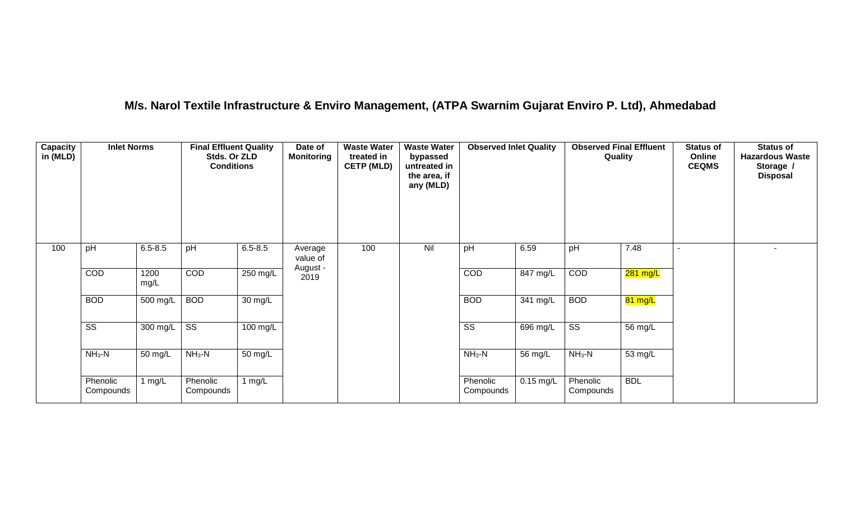## **M/s. Narol Textile Infrastructure & Enviro Management, (ATPA Swarnim Gujarat Enviro P. Ltd), Ahmedabad**

| <b>Capacity</b><br>in (MLD) | <b>Inlet Norms</b>     |              | <b>Final Effluent Quality</b><br>Stds. Or ZLD<br><b>Conditions</b> |                      | Date of<br><b>Monitoring</b> | <b>Waste Water</b><br>treated in<br><b>CETP (MLD)</b> | <b>Waste Water</b><br>bypassed<br>untreated in<br>the area, if<br>any (MLD) | <b>Observed Inlet Quality</b> |             | <b>Observed Final Effluent</b><br>Quality |            | <b>Status of</b><br>Online<br><b>CEQMS</b> | <b>Status of</b><br><b>Hazardous Waste</b><br>Storage /<br><b>Disposal</b> |
|-----------------------------|------------------------|--------------|--------------------------------------------------------------------|----------------------|------------------------------|-------------------------------------------------------|-----------------------------------------------------------------------------|-------------------------------|-------------|-------------------------------------------|------------|--------------------------------------------|----------------------------------------------------------------------------|
| 100                         | pH                     | $6.5 - 8.5$  | pH                                                                 | $6.5 - 8.5$          | Average<br>value of          | 100                                                   | Nil                                                                         | pH                            | 6.59        | pH                                        | 7.48       |                                            |                                                                            |
|                             | COD                    | 1200<br>mg/L | COD                                                                | $250$ mg/L           | August -<br>2019             |                                                       |                                                                             | COD                           | 847 mg/L    | COD                                       | 281 mg/L   |                                            |                                                                            |
|                             | <b>BOD</b>             | 500 mg/L     | <b>BOD</b>                                                         | $\overline{30}$ mg/L |                              |                                                       |                                                                             | <b>BOD</b>                    | 341 mg/L    | <b>BOD</b>                                | 81 mg/L    |                                            |                                                                            |
|                             | $\overline{\text{ss}}$ | $300$ mg/L   | $\overline{\text{ss}}$                                             | $100 \text{ mg/L}$   |                              |                                                       |                                                                             | $\overline{\text{ss}}$        | 696 mg/L    | $\overline{\text{ss}}$                    | 56 mg/L    |                                            |                                                                            |
|                             | $NH3-N$                | 50 mg/L      | $NH3-N$                                                            | 50 mg/L              |                              |                                                       |                                                                             | $NH3-N$                       | 56 mg/L     | $NH_3-N$                                  | 53 mg/L    |                                            |                                                                            |
|                             | Phenolic<br>Compounds  | 1 mg/L       | Phenolic<br>Compounds                                              | 1 $mg/L$             |                              |                                                       |                                                                             | Phenolic<br>Compounds         | $0.15$ mg/L | Phenolic<br>Compounds                     | <b>BDL</b> |                                            |                                                                            |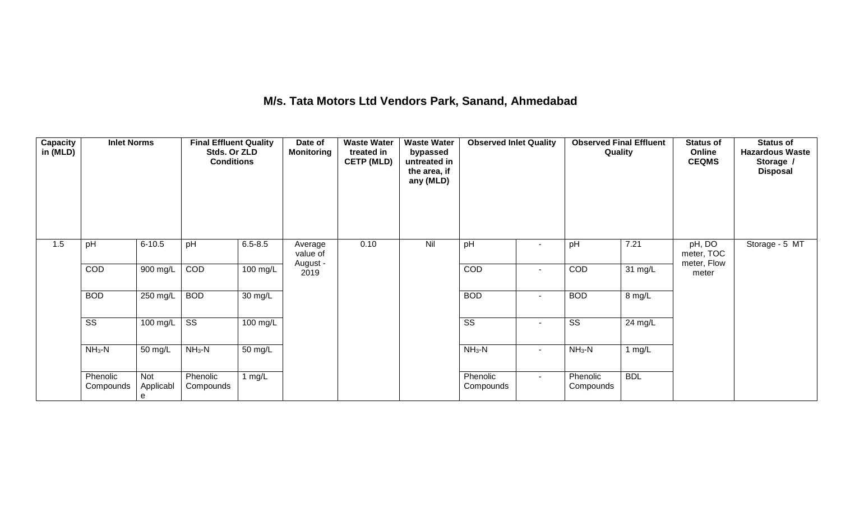## **M/s. Tata Motors Ltd Vendors Park, Sanand, Ahmedabad**

| <b>Capacity</b><br>in (MLD) | <b>Inlet Norms</b>     |                       | <b>Final Effluent Quality</b><br>Stds. Or ZLD<br><b>Conditions</b> |                      | Date of<br><b>Monitoring</b> | <b>Waste Water</b><br>treated in<br><b>CETP (MLD)</b> | <b>Waste Water</b><br>bypassed<br>untreated in<br>the area, if<br>any (MLD) | <b>Observed Inlet Quality</b> |                          | <b>Observed Final Effluent</b><br>Quality |            | <b>Status of</b><br>Online<br><b>CEQMS</b> | <b>Status of</b><br><b>Hazardous Waste</b><br>Storage /<br><b>Disposal</b> |
|-----------------------------|------------------------|-----------------------|--------------------------------------------------------------------|----------------------|------------------------------|-------------------------------------------------------|-----------------------------------------------------------------------------|-------------------------------|--------------------------|-------------------------------------------|------------|--------------------------------------------|----------------------------------------------------------------------------|
| 1.5                         | pH                     | $6 - 10.5$            | pH                                                                 | $6.5 - 8.5$          | Average<br>value of          | 0.10                                                  | Nil                                                                         | pH                            |                          | pH                                        | 7.21       | pH, DO<br>meter, TOC                       | Storage - 5 MT                                                             |
|                             | COD                    | 900 mg/L              | COD                                                                | 100 mg/L             | August -<br>2019             |                                                       |                                                                             | COD                           | $\sim$                   | <b>COD</b>                                | 31 mg/L    | meter, Flow<br>meter                       |                                                                            |
|                             | <b>BOD</b>             | 250 mg/L              | <b>BOD</b>                                                         | $\overline{30}$ mg/L |                              |                                                       |                                                                             | <b>BOD</b>                    | $\sim$                   | <b>BOD</b>                                | 8 mg/L     |                                            |                                                                            |
|                             | $\overline{\text{SS}}$ | 100 mg/L              | $\overline{\text{ss}}$                                             | $100 \text{ mg/L}$   |                              |                                                       |                                                                             | $\overline{\text{SS}}$        | $\overline{\phantom{a}}$ | $\overline{\text{SS}}$                    | 24 mg/L    |                                            |                                                                            |
|                             | $NH3-N$                | 50 mg/L               | $NH3-N$                                                            | 50 mg/L              |                              |                                                       |                                                                             | $NH3-N$                       | $\sim$                   | $NH3-N$                                   | 1 $mg/L$   |                                            |                                                                            |
|                             | Phenolic<br>Compounds  | Not<br>Applicabl<br>e | Phenolic<br>Compounds                                              | 1 $mg/L$             |                              |                                                       |                                                                             | Phenolic<br>Compounds         | $\sim$                   | Phenolic<br>Compounds                     | <b>BDL</b> |                                            |                                                                            |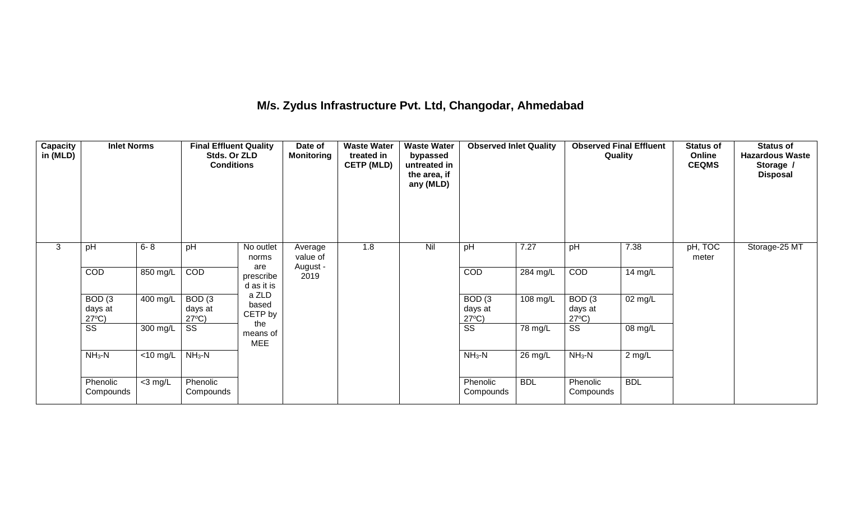## **M/s. Zydus Infrastructure Pvt. Ltd, Changodar, Ahmedabad**

| Capacity<br>in (MLD) | <b>Inlet Norms</b>                              |                               | <b>Final Effluent Quality</b><br>Stds. Or ZLD<br><b>Conditions</b> |                               | Date of<br><b>Monitoring</b>    | <b>Waste Water</b><br>treated in<br><b>CETP (MLD)</b> | <b>Waste Water</b><br>bypassed<br>untreated in<br>the area, if<br>any (MLD) | <b>Observed Inlet Quality</b>                   |            | <b>Observed Final Effluent</b><br>Quality       |            | <b>Status of</b><br>Online<br><b>CEQMS</b> | <b>Status of</b><br><b>Hazardous Waste</b><br>Storage /<br><b>Disposal</b> |
|----------------------|-------------------------------------------------|-------------------------------|--------------------------------------------------------------------|-------------------------------|---------------------------------|-------------------------------------------------------|-----------------------------------------------------------------------------|-------------------------------------------------|------------|-------------------------------------------------|------------|--------------------------------------------|----------------------------------------------------------------------------|
| 3                    | pH                                              | $6 - 8$                       | pH                                                                 | No outlet<br>norms<br>are     | Average<br>value of<br>August - | 1.8                                                   | Nil                                                                         | pH                                              | 7.27       | pH                                              | 7.38       | pH, TOC<br>meter                           | Storage-25 MT                                                              |
|                      | COD                                             | 850 mg/L                      | COD                                                                | prescribe<br>d as it is       | 2019                            |                                                       |                                                                             | COD                                             | 284 mg/L   | COD                                             | 14 mg/L    |                                            |                                                                            |
|                      | BOD <sub>(3</sub><br>days at<br>$27^{\circ}C$ ) | 400 mg/L                      | BOD <sub>(3</sub><br>days at<br>$27^{\circ}C$ )                    | a ZLD<br>based<br>CETP by     |                                 |                                                       |                                                                             | BOD <sub>(3</sub><br>days at<br>$27^{\circ}C$ ) | 108 mg/L   | BOD <sub>(3</sub><br>days at<br>$27^{\circ}C$ ) | 02 mg/L    |                                            |                                                                            |
|                      | SS                                              | 300 mg/L                      | SS                                                                 | the<br>means of<br><b>MEE</b> |                                 |                                                       |                                                                             | SS                                              | 78 mg/L    | $\overline{\text{SS}}$                          | 08 mg/L    |                                            |                                                                            |
|                      | $NH3-N$                                         | $\overline{<}10 \text{ mg/L}$ | $NH3-N$                                                            |                               |                                 |                                                       |                                                                             | $NH3-N$                                         | 26 mg/L    | $NH3-N$                                         | $2$ mg/L   |                                            |                                                                            |
|                      | Phenolic<br>Compounds                           | $<$ 3 mg/L                    | Phenolic<br>Compounds                                              |                               |                                 |                                                       |                                                                             | Phenolic<br>Compounds                           | <b>BDL</b> | Phenolic<br>Compounds                           | <b>BDL</b> |                                            |                                                                            |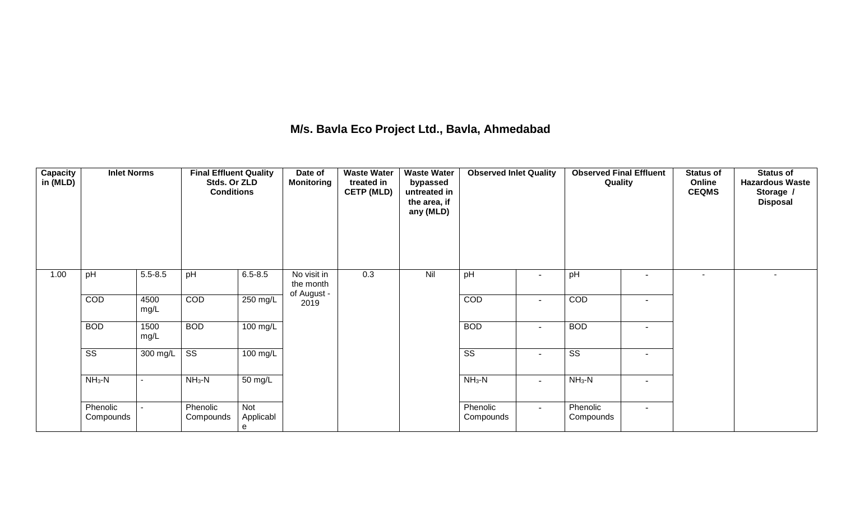## **M/s. Bavla Eco Project Ltd., Bavla, Ahmedabad**

| <b>Capacity</b><br>in (MLD) | <b>Inlet Norms</b>     |              | <b>Final Effluent Quality</b><br>Stds. Or ZLD<br><b>Conditions</b> |                       | Date of<br><b>Monitoring</b> | <b>Waste Water</b><br>treated in<br><b>CETP (MLD)</b> | <b>Waste Water</b><br>bypassed<br>untreated in<br>the area, if<br>any (MLD) | <b>Observed Inlet Quality</b> |                          | <b>Observed Final Effluent</b><br>Quality |                          | <b>Status of</b><br>Online<br><b>CEQMS</b> | <b>Status of</b><br><b>Hazardous Waste</b><br>Storage /<br><b>Disposal</b> |
|-----------------------------|------------------------|--------------|--------------------------------------------------------------------|-----------------------|------------------------------|-------------------------------------------------------|-----------------------------------------------------------------------------|-------------------------------|--------------------------|-------------------------------------------|--------------------------|--------------------------------------------|----------------------------------------------------------------------------|
| 1.00                        | pH                     | $5.5 - 8.5$  | pH                                                                 | $6.5 - 8.5$           | No visit in<br>the month     | 0.3                                                   | Nil                                                                         | pH                            | $\blacksquare$           | pH                                        |                          | $\sim$                                     | $\overline{\phantom{a}}$                                                   |
|                             | COD                    | 4500<br>mg/L | COD                                                                | 250 mg/L              | of August -<br>2019          |                                                       |                                                                             | COD                           | $\blacksquare$           | COD                                       | $\blacksquare$           |                                            |                                                                            |
|                             | <b>BOD</b>             | 1500<br>mg/L | <b>BOD</b>                                                         | 100 mg/L              |                              |                                                       |                                                                             | <b>BOD</b>                    | $\overline{\phantom{a}}$ | <b>BOD</b>                                |                          |                                            |                                                                            |
|                             | $\overline{\text{SS}}$ | $300$ mg/L   | $\overline{\text{ss}}$                                             | 100 mg/L              |                              |                                                       |                                                                             | $\overline{\text{ss}}$        |                          | $\overline{\text{ss}}$                    |                          |                                            |                                                                            |
|                             | $NH3-N$                | ٠            | $NH_3-N$                                                           | 50 mg/L               |                              |                                                       |                                                                             | $NH3-N$                       | $\sim$                   | $NH3-N$                                   | $\blacksquare$           |                                            |                                                                            |
|                             | Phenolic<br>Compounds  | ۰.           | Phenolic<br>Compounds                                              | Not<br>Applicabl<br>e |                              |                                                       |                                                                             | Phenolic<br>Compounds         | $\sim$                   | Phenolic<br>Compounds                     | $\overline{\phantom{a}}$ |                                            |                                                                            |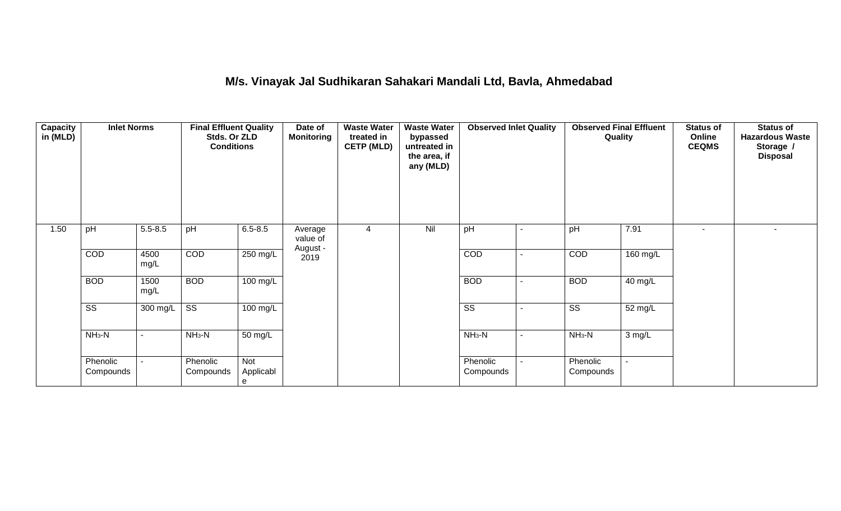## **M/s. Vinayak Jal Sudhikaran Sahakari Mandali Ltd, Bavla, Ahmedabad**

| <b>Capacity</b><br>in (MLD) | <b>Inlet Norms</b>     |                | <b>Final Effluent Quality</b><br>Stds. Or ZLD<br><b>Conditions</b> |                       | Date of<br><b>Monitoring</b>    | <b>Waste Water</b><br>treated in<br><b>CETP (MLD)</b> | <b>Waste Water</b><br>bypassed<br>untreated in<br>the area, if<br>any (MLD) | <b>Observed Inlet Quality</b> |                          | <b>Observed Final Effluent</b><br>Quality |          | <b>Status of</b><br>Online<br><b>CEQMS</b> | <b>Status of</b><br><b>Hazardous Waste</b><br>Storage /<br><b>Disposal</b> |
|-----------------------------|------------------------|----------------|--------------------------------------------------------------------|-----------------------|---------------------------------|-------------------------------------------------------|-----------------------------------------------------------------------------|-------------------------------|--------------------------|-------------------------------------------|----------|--------------------------------------------|----------------------------------------------------------------------------|
| 1.50                        | pH                     | $5.5 - 8.5$    | pH                                                                 | $6.5 - 8.5$           | Average<br>value of<br>August - | 4                                                     | Nil                                                                         | pH                            | $\blacksquare$           | pH                                        | 7.91     |                                            | $\blacksquare$                                                             |
|                             | COD                    | 4500<br>mg/L   | COD                                                                | $250$ mg/L            | 2019                            |                                                       |                                                                             | COD                           | $\blacksquare$           | COD                                       | 160 mg/L |                                            |                                                                            |
|                             | <b>BOD</b>             | 1500<br>mg/L   | <b>BOD</b>                                                         | $100 \text{ mg/L}$    |                                 |                                                       |                                                                             | <b>BOD</b>                    | $\blacksquare$           | <b>BOD</b>                                | 40 mg/L  |                                            |                                                                            |
|                             | $\overline{\text{ss}}$ | 300 mg/L       | $\overline{\text{SS}}$                                             | $100 \text{ mg/L}$    |                                 |                                                       |                                                                             | $\overline{\text{SS}}$        | $\overline{\phantom{0}}$ | $\overline{\text{ss}}$                    | 52 mg/L  |                                            |                                                                            |
|                             | $NH3-N$                | $\blacksquare$ | $NH3-N$                                                            | 50 mg/L               |                                 |                                                       |                                                                             | $NH3-N$                       | $\blacksquare$           | $NH3-N$                                   | 3 mg/L   |                                            |                                                                            |
|                             | Phenolic<br>Compounds  | $\blacksquare$ | Phenolic<br>Compounds                                              | Not<br>Applicabl<br>e |                                 |                                                       |                                                                             | Phenolic<br>Compounds         | $\blacksquare$           | Phenolic<br>Compounds                     |          |                                            |                                                                            |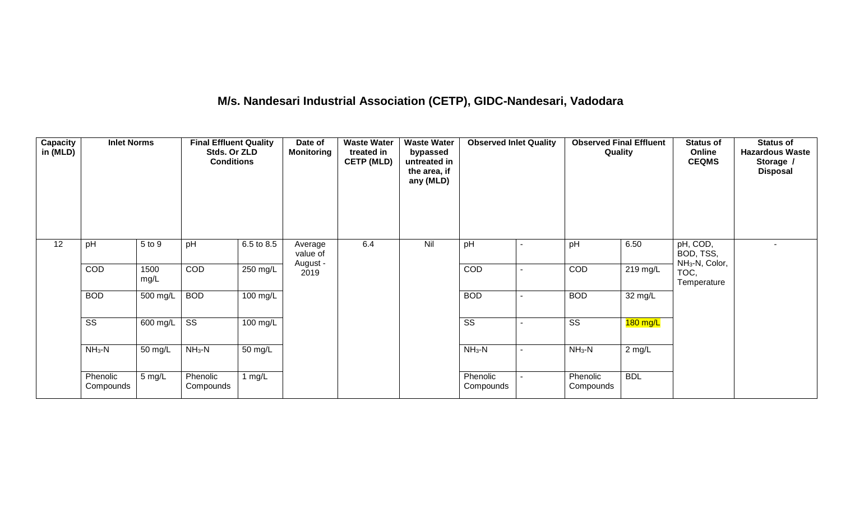# **M/s. Nandesari Industrial Association (CETP), GIDC-Nandesari, Vadodara**

| <b>Capacity</b><br>in (MLD) | <b>Inlet Norms</b>     |                  | <b>Final Effluent Quality</b><br>Stds. Or ZLD<br><b>Conditions</b> |                    | Date of<br><b>Monitoring</b>    | <b>Waste Water</b><br>treated in<br><b>CETP (MLD)</b> | <b>Waste Water</b><br>bypassed<br>untreated in<br>the area, if<br>any (MLD) | <b>Observed Inlet Quality</b> |                          | <b>Observed Final Effluent</b><br>Quality |                    | <b>Status of</b><br>Online<br><b>CEQMS</b>          | <b>Status of</b><br><b>Hazardous Waste</b><br>Storage /<br><b>Disposal</b> |
|-----------------------------|------------------------|------------------|--------------------------------------------------------------------|--------------------|---------------------------------|-------------------------------------------------------|-----------------------------------------------------------------------------|-------------------------------|--------------------------|-------------------------------------------|--------------------|-----------------------------------------------------|----------------------------------------------------------------------------|
| 12                          | pH                     | 5 to 9           | pH                                                                 | 6.5 to 8.5         | Average<br>value of<br>August - | 6.4                                                   | Nil                                                                         | pH                            |                          | pH                                        | 6.50               | pH, COD,<br>BOD, TSS,<br>NH <sub>3</sub> -N, Color, |                                                                            |
|                             | COD                    | 1500<br>mg/L     | COD                                                                | 250 mg/L           | 2019                            |                                                       |                                                                             | COD                           |                          | COD                                       | $219 \text{ mg/L}$ | TOC,<br>Temperature                                 |                                                                            |
|                             | <b>BOD</b>             | 500 mg/L         | <b>BOD</b>                                                         | $100$ mg/L         |                                 |                                                       |                                                                             | <b>BOD</b>                    |                          | <b>BOD</b>                                | 32 mg/L            |                                                     |                                                                            |
|                             | $\overline{\text{ss}}$ | 600 mg/L         | $\overline{\text{ss}}$                                             | $100 \text{ mg/L}$ |                                 |                                                       |                                                                             | $\overline{\text{ss}}$        | $\overline{\phantom{a}}$ | $\overline{\text{ss}}$                    | $180$ mg/L         |                                                     |                                                                            |
|                             | $NH3-N$                | 50 mg/L          | $NH3-N$<br>$NH3-N$<br>$NH3-N$<br>50 mg/L<br>$2$ mg/L               |                    |                                 |                                                       |                                                                             |                               |                          |                                           |                    |                                                     |                                                                            |
|                             | Phenolic<br>Compounds  | $5 \text{ mg/L}$ | Phenolic<br>Compounds                                              | 1 mg/ $L$          |                                 |                                                       |                                                                             | Phenolic<br>Compounds         |                          | Phenolic<br>Compounds                     | <b>BDL</b>         |                                                     |                                                                            |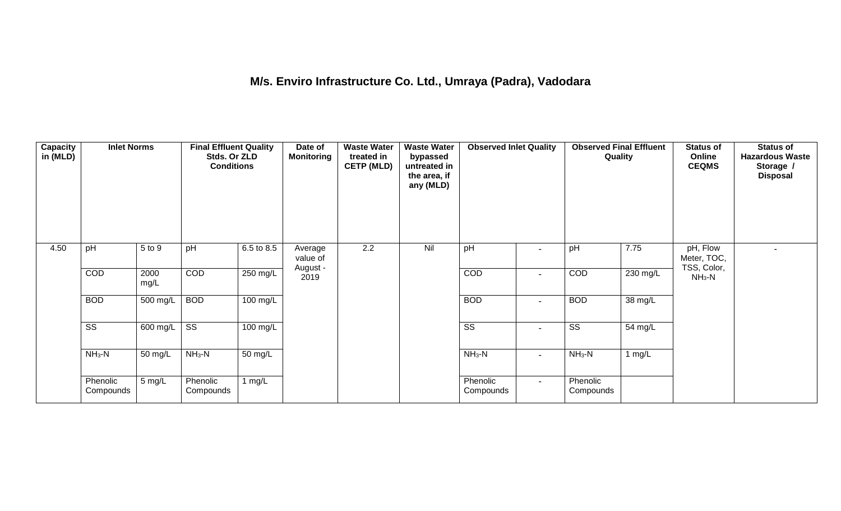## **M/s. Enviro Infrastructure Co. Ltd., Umraya (Padra), Vadodara**

| Capacity<br>in (MLD) | <b>Inlet Norms</b>     |                       | <b>Final Effluent Quality</b><br>Stds. Or ZLD<br><b>Conditions</b> |                    | Date of<br><b>Monitoring</b>    | <b>Waste Water</b><br>treated in<br><b>CETP (MLD)</b> | <b>Waste Water</b><br>bypassed<br>untreated in<br>the area, if<br>any (MLD) | <b>Observed Inlet Quality</b> |                          | <b>Observed Final Effluent</b><br>Quality |          | <b>Status of</b><br>Online<br><b>CEQMS</b> | <b>Status of</b><br><b>Hazardous Waste</b><br>Storage /<br><b>Disposal</b> |
|----------------------|------------------------|-----------------------|--------------------------------------------------------------------|--------------------|---------------------------------|-------------------------------------------------------|-----------------------------------------------------------------------------|-------------------------------|--------------------------|-------------------------------------------|----------|--------------------------------------------|----------------------------------------------------------------------------|
| 4.50                 | pH                     | 5 to 9                | pH                                                                 | 6.5 to 8.5         | Average<br>value of<br>August - | 2.2                                                   | Nil                                                                         | pH                            | $\overline{\phantom{0}}$ | pH                                        | 7.75     | pH, Flow<br>Meter, TOC,<br>TSS, Color,     |                                                                            |
|                      | COD                    | 2000<br>mg/L          | COD                                                                | $250$ mg/L         | 2019                            |                                                       |                                                                             | COD                           | $\overline{\phantom{a}}$ | COD                                       | 230 mg/L | $NH3-N$                                    |                                                                            |
|                      | <b>BOD</b>             | 500 mg/L              | <b>BOD</b>                                                         | $100$ mg/L         |                                 |                                                       |                                                                             | <b>BOD</b>                    | $\overline{\phantom{a}}$ | <b>BOD</b>                                | 38 mg/L  |                                            |                                                                            |
|                      | $\overline{\text{ss}}$ | $\overline{600}$ mg/L | $\overline{\text{ss}}$                                             | $100 \text{ mg/L}$ |                                 |                                                       |                                                                             | $\overline{\text{ss}}$        | $\overline{\phantom{a}}$ | $\overline{\text{ss}}$                    | 54 mg/L  |                                            |                                                                            |
|                      | $NH3-N$                | 50 mg/L               | $NH3-N$                                                            | 50 mg/L            |                                 |                                                       |                                                                             | $NH3-N$                       | $\blacksquare$           | $NH_3-N$                                  | $1$ mg/L |                                            |                                                                            |
|                      | Phenolic<br>Compounds  | 5 mg/L                | Phenolic<br>Compounds                                              | 1 mg/L             |                                 |                                                       |                                                                             | Phenolic<br>Compounds         | $\sim$                   | Phenolic<br>Compounds                     |          |                                            |                                                                            |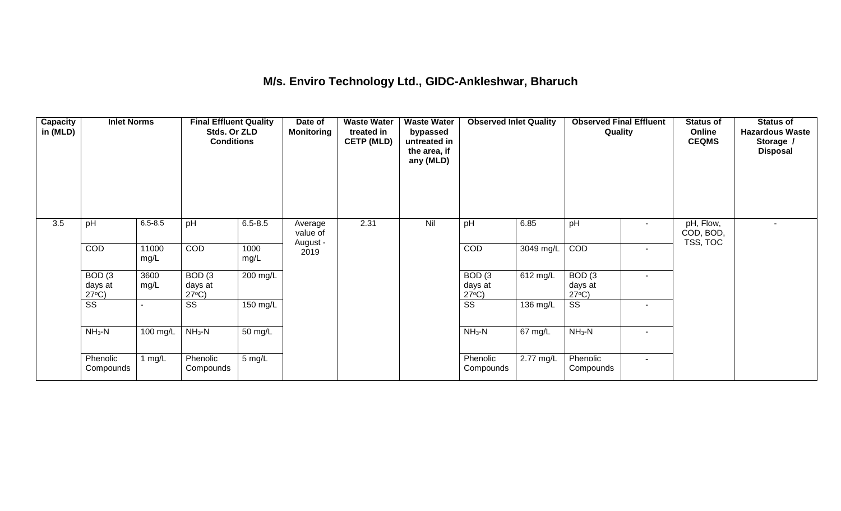### **M/s. Enviro Technology Ltd., GIDC-Ankleshwar, Bharuch**

| <b>Capacity</b><br>in (MLD) | <b>Inlet Norms</b>                              |               | <b>Final Effluent Quality</b><br>Stds. Or ZLD<br><b>Conditions</b> |              | Date of<br><b>Monitoring</b> | <b>Waste Water</b><br>treated in<br><b>CETP (MLD)</b> | <b>Waste Water</b><br>bypassed<br>untreated in<br>the area, if<br>any (MLD) | <b>Observed Inlet Quality</b>        |           | <b>Observed Final Effluent</b><br>Quality |                          | <b>Status of</b><br>Online<br><b>CEQMS</b> | <b>Status of</b><br><b>Hazardous Waste</b><br>Storage /<br><b>Disposal</b> |
|-----------------------------|-------------------------------------------------|---------------|--------------------------------------------------------------------|--------------|------------------------------|-------------------------------------------------------|-----------------------------------------------------------------------------|--------------------------------------|-----------|-------------------------------------------|--------------------------|--------------------------------------------|----------------------------------------------------------------------------|
| 3.5                         | pH                                              | $6.5 - 8.5$   | pH                                                                 | $6.5 - 8.5$  | Average<br>value of          | 2.31                                                  | Nil                                                                         | pH                                   | 6.85      | pH                                        |                          | pH, Flow,<br>COD, BOD,<br>TSS, TOC         |                                                                            |
|                             | COD                                             | 11000<br>mg/L | <b>COD</b>                                                         | 1000<br>mg/L | August -<br>2019             |                                                       |                                                                             | <b>COD</b>                           | 3049 mg/L | COD                                       | $\sim$                   |                                            |                                                                            |
|                             | BOD <sub>(3</sub><br>days at<br>$27^{\circ}C$ ) | 3600<br>mg/L  | BOD(3)<br>days at<br>$27^{\circ}C$ )                               | $200$ mg/L   |                              |                                                       |                                                                             | BOD(3)<br>days at<br>$27^{\circ}C$ ) | 612 mg/L  | BOD(3)<br>days at<br>$27^{\circ}C$ )      |                          |                                            |                                                                            |
|                             | $\overline{\text{ss}}$                          |               | $\overline{\text{SS}}$                                             | 150 mg/L     |                              |                                                       |                                                                             | $\overline{\text{SS}}$               | 136 mg/L  | $\overline{\text{ss}}$                    | $\sim$                   |                                            |                                                                            |
|                             | $NH3-N$                                         | 100 mg/L      | $NH_3-N$                                                           | 50 mg/L      |                              |                                                       |                                                                             | $NH_3-N$                             | 67 mg/L   | $NH_3-N$                                  |                          |                                            |                                                                            |
|                             | Phenolic<br>Compounds                           | 1 $mg/L$      | Phenolic<br>Compounds                                              | 5 mg/L       |                              |                                                       |                                                                             | Phenolic<br>Compounds                | 2.77 mg/L | Phenolic<br>Compounds                     | $\overline{\phantom{0}}$ |                                            |                                                                            |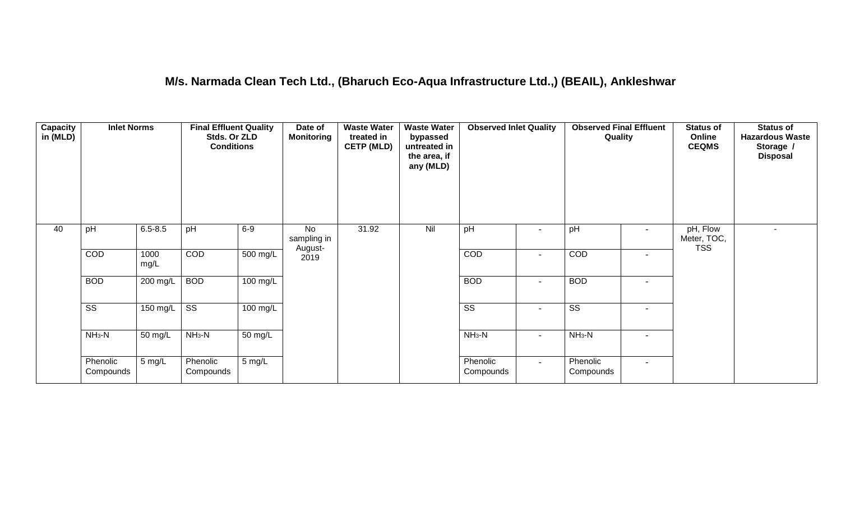## **M/s. Narmada Clean Tech Ltd., (Bharuch Eco-Aqua Infrastructure Ltd.,) (BEAIL), Ankleshwar**

| <b>Capacity</b><br>in (MLD) | <b>Inlet Norms</b>     |                   | <b>Final Effluent Quality</b><br>Stds. Or ZLD<br><b>Conditions</b> |            | Date of<br><b>Monitoring</b> | <b>Waste Water</b><br>treated in<br><b>CETP (MLD)</b> | <b>Waste Water</b><br>bypassed<br>untreated in<br>the area, if<br>any (MLD) | <b>Observed Inlet Quality</b> |                          | <b>Observed Final Effluent</b><br>Quality |                | <b>Status of</b><br>Online<br><b>CEQMS</b> | <b>Status of</b><br><b>Hazardous Waste</b><br>Storage /<br><b>Disposal</b> |
|-----------------------------|------------------------|-------------------|--------------------------------------------------------------------|------------|------------------------------|-------------------------------------------------------|-----------------------------------------------------------------------------|-------------------------------|--------------------------|-------------------------------------------|----------------|--------------------------------------------|----------------------------------------------------------------------------|
| 40                          | pH                     | $6.5 - 8.5$       | pH                                                                 | $6-9$      | No<br>sampling in<br>August- | 31.92                                                 | Nil                                                                         | pH                            | $\overline{\phantom{a}}$ | pH                                        | $\sim$         | pH, Flow<br>Meter, TOC,<br><b>TSS</b>      |                                                                            |
|                             | COD                    | 1000<br>mg/L      | COD                                                                | 500 mg/L   | 2019                         |                                                       |                                                                             | COD                           | $\blacksquare$           | COD                                       | $\sim$         |                                            |                                                                            |
|                             | <b>BOD</b>             | 200 mg/L          | <b>BOD</b>                                                         | 100 mg/L   |                              |                                                       |                                                                             | <b>BOD</b>                    | $\overline{\phantom{a}}$ | <b>BOD</b>                                | $\blacksquare$ |                                            |                                                                            |
|                             | $\overline{\text{ss}}$ | 150 mg/L          | $\overline{\text{ss}}$                                             | $100$ mg/L |                              |                                                       |                                                                             | $\overline{\text{ss}}$        | $\overline{\phantom{a}}$ | $\overline{\text{ss}}$                    | $\blacksquare$ |                                            |                                                                            |
|                             | $NH3-N$                | $50 \text{ mg/L}$ | $NH3-N$                                                            | 50 mg/L    |                              |                                                       |                                                                             | $NH_3-N$                      | $\blacksquare$           | $NH3-N$                                   | $\blacksquare$ |                                            |                                                                            |
|                             | Phenolic<br>Compounds  | 5 mg/L            | Phenolic<br>Compounds                                              | 5 mg/L     |                              |                                                       |                                                                             | Phenolic<br>Compounds         | $\sim$                   | Phenolic<br>Compounds                     | $\blacksquare$ |                                            |                                                                            |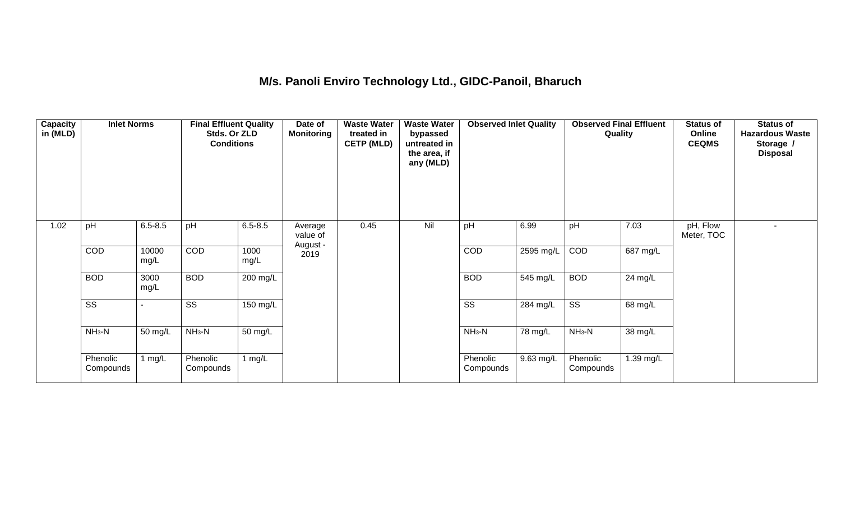## **M/s. Panoli Enviro Technology Ltd., GIDC-Panoil, Bharuch**

| Capacity<br>in (MLD) | <b>Inlet Norms</b>     |               | <b>Final Effluent Quality</b><br>Stds. Or ZLD<br><b>Conditions</b> |              | Date of<br><b>Monitoring</b> | <b>Waste Water</b><br>treated in<br><b>CETP (MLD)</b> | <b>Waste Water</b><br>bypassed<br>untreated in<br>the area, if<br>any (MLD) | <b>Observed Inlet Quality</b> |                     | <b>Observed Final Effluent</b><br>Quality |           | <b>Status of</b><br>Online<br><b>CEQMS</b> | <b>Status of</b><br><b>Hazardous Waste</b><br>Storage /<br><b>Disposal</b> |
|----------------------|------------------------|---------------|--------------------------------------------------------------------|--------------|------------------------------|-------------------------------------------------------|-----------------------------------------------------------------------------|-------------------------------|---------------------|-------------------------------------------|-----------|--------------------------------------------|----------------------------------------------------------------------------|
| 1.02                 | pH                     | $6.5 - 8.5$   | pH                                                                 | $6.5 - 8.5$  | Average<br>value of          | 0.45                                                  | Nil                                                                         | pH                            | 6.99                | pH                                        | 7.03      | pH, Flow<br>Meter, TOC                     |                                                                            |
|                      | COD                    | 10000<br>mg/L | COD                                                                | 1000<br>mg/L | August -<br>2019             |                                                       |                                                                             | <b>COD</b>                    | 2595 mg/L           | COD                                       | 687 mg/L  |                                            |                                                                            |
|                      | <b>BOD</b>             | 3000<br>mg/L  | <b>BOD</b>                                                         | 200 mg/L     |                              |                                                       |                                                                             | <b>BOD</b>                    | 545 mg/L            | <b>BOD</b>                                | 24 mg/L   |                                            |                                                                            |
|                      | $\overline{\text{ss}}$ |               | $\overline{\text{ss}}$                                             | 150 mg/L     |                              |                                                       |                                                                             | $\overline{\text{SS}}$        | 284 mg/L            | $\overline{\text{ss}}$                    | 68 mg/L   |                                            |                                                                            |
|                      | $NH3-N$                | 50 mg/L       | $NH3-N$                                                            | 50 mg/L      |                              |                                                       |                                                                             | $NH3-N$                       | 78 mg/L             | $NH3-N$                                   | 38 mg/L   |                                            |                                                                            |
|                      | Phenolic<br>Compounds  | 1 $mg/L$      | Phenolic<br>Compounds                                              | 1 $mg/L$     |                              |                                                       |                                                                             | Phenolic<br>Compounds         | $9.63 \text{ mg/L}$ | Phenolic<br>Compounds                     | 1.39 mg/L |                                            |                                                                            |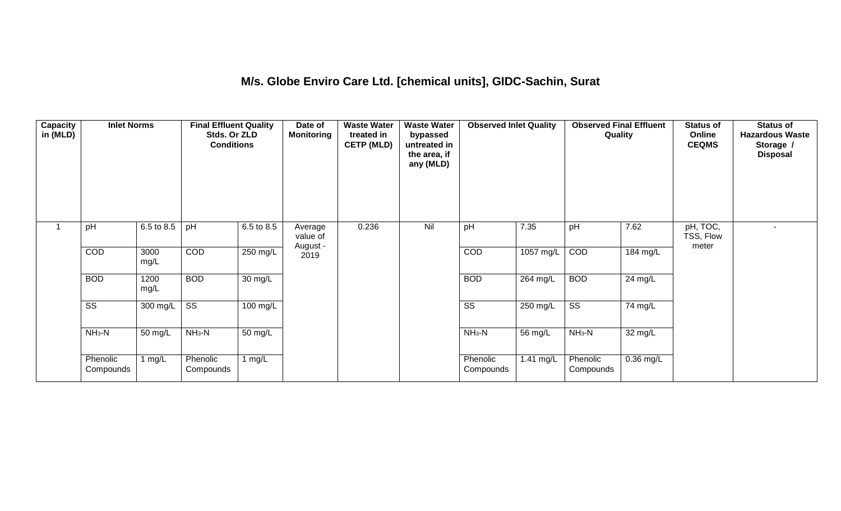### **M/s. Globe Enviro Care Ltd. [chemical units], GIDC-Sachin, Surat**

| <b>Capacity</b><br>in (MLD) | <b>Inlet Norms</b>     |              | <b>Final Effluent Quality</b><br>Stds. Or ZLD<br><b>Conditions</b> |                      | Date of<br><b>Monitoring</b> | <b>Waste Water</b><br>treated in<br><b>CETP (MLD)</b> | <b>Waste Water</b><br>bypassed<br>untreated in<br>the area, if<br>any (MLD) | <b>Observed Inlet Quality</b> |           | <b>Observed Final Effluent</b><br>Quality |                    | <b>Status of</b><br>Online<br><b>CEQMS</b> | <b>Status of</b><br><b>Hazardous Waste</b><br>Storage /<br><b>Disposal</b> |
|-----------------------------|------------------------|--------------|--------------------------------------------------------------------|----------------------|------------------------------|-------------------------------------------------------|-----------------------------------------------------------------------------|-------------------------------|-----------|-------------------------------------------|--------------------|--------------------------------------------|----------------------------------------------------------------------------|
|                             | pH                     | 6.5 to 8.5   | pH                                                                 | 6.5 to 8.5           | Average<br>value of          | 0.236                                                 | Nil                                                                         | pH                            | 7.35      | pH                                        | 7.62               | pH, TOC,<br>TSS, Flow<br>meter             |                                                                            |
|                             | COD                    | 3000<br>mg/L | COD                                                                | 250 mg/L             | August -<br>2019             |                                                       |                                                                             | COD                           | 1057 mg/L | COD                                       | $184 \text{ mg/L}$ |                                            |                                                                            |
|                             | <b>BOD</b>             | 1200<br>mg/L | <b>BOD</b>                                                         | $\overline{30}$ mg/L |                              |                                                       |                                                                             | <b>BOD</b>                    | 264 mg/L  | <b>BOD</b>                                | $24 \text{ mg/L}$  |                                            |                                                                            |
|                             | $\overline{\text{ss}}$ | 300 mg/L     | $\overline{\text{ss}}$                                             | $100 \text{ mg/L}$   |                              |                                                       |                                                                             | $\overline{\text{ss}}$        | 250 mg/L  | $\overline{\text{ss}}$                    | 74 mg/L            |                                            |                                                                            |
|                             | $NH3-N$                | 50 mg/L      | $NH3-N$                                                            | 50 mg/L              |                              |                                                       |                                                                             | $NH3-N$                       | 56 mg/L   | $NH3-N$                                   | 32 mg/L            |                                            |                                                                            |
|                             | Phenolic<br>Compounds  | 1 mg/L       | Phenolic<br>Compounds                                              | 1 $mg/L$             |                              |                                                       |                                                                             | Phenolic<br>Compounds         | 1.41 mg/L | Phenolic<br>Compounds                     | $0.36$ mg/L        |                                            |                                                                            |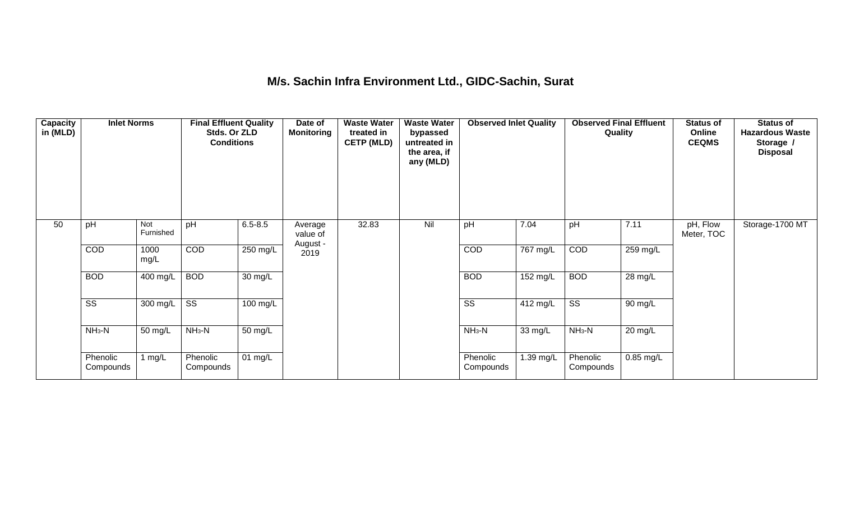### **M/s. Sachin Infra Environment Ltd., GIDC-Sachin, Surat**

| <b>Capacity</b><br>in (MLD) | <b>Inlet Norms</b>     |                  | <b>Final Effluent Quality</b><br>Stds. Or ZLD<br><b>Conditions</b> |                      | Date of<br><b>Monitoring</b>    | <b>Waste Water</b><br>treated in<br><b>CETP (MLD)</b> | <b>Waste Water</b><br>bypassed<br>untreated in<br>the area, if<br>any (MLD) | <b>Observed Inlet Quality</b> |                      | <b>Observed Final Effluent</b><br>Quality |             | <b>Status of</b><br>Online<br><b>CEQMS</b> | <b>Status of</b><br><b>Hazardous Waste</b><br>Storage /<br><b>Disposal</b> |
|-----------------------------|------------------------|------------------|--------------------------------------------------------------------|----------------------|---------------------------------|-------------------------------------------------------|-----------------------------------------------------------------------------|-------------------------------|----------------------|-------------------------------------------|-------------|--------------------------------------------|----------------------------------------------------------------------------|
| 50                          | pH                     | Not<br>Furnished | pH                                                                 | $6.5 - 8.5$          | Average<br>value of<br>August - | 32.83                                                 | Nil                                                                         | pH                            | 7.04                 | pH                                        | 7.11        | pH, Flow<br>Meter, TOC                     | Storage-1700 MT                                                            |
|                             | COD                    | 1000<br>mg/L     | <b>COD</b>                                                         | 250 mg/L             | 2019                            |                                                       |                                                                             | COD                           | $767$ mg/L           | COD                                       | 259 mg/L    |                                            |                                                                            |
|                             | <b>BOD</b>             | 400 mg/L         | <b>BOD</b>                                                         | $\overline{30}$ mg/L |                                 |                                                       |                                                                             | <b>BOD</b>                    | $152$ mg/L           | <b>BOD</b>                                | 28 mg/L     |                                            |                                                                            |
|                             | $\overline{\text{ss}}$ | 300 mg/L         | $\overline{\text{SS}}$                                             | 100 mg/L             |                                 |                                                       |                                                                             | $\overline{\text{SS}}$        | 412 mg/L             | $\overline{\text{ss}}$                    | 90 mg/L     |                                            |                                                                            |
|                             | $NH3-N$                | 50 mg/L          | $NH3-N$                                                            | 50 mg/L              |                                 |                                                       |                                                                             | $NH3-N$                       | $\overline{33}$ mg/L | $NH3-N$                                   | 20 mg/L     |                                            |                                                                            |
|                             | Phenolic<br>Compounds  | 1 $mg/L$         | Phenolic<br>Compounds                                              | 01 mg/L              |                                 |                                                       |                                                                             | Phenolic<br>Compounds         | 1.39 mg/L            | Phenolic<br>Compounds                     | $0.85$ mg/L |                                            |                                                                            |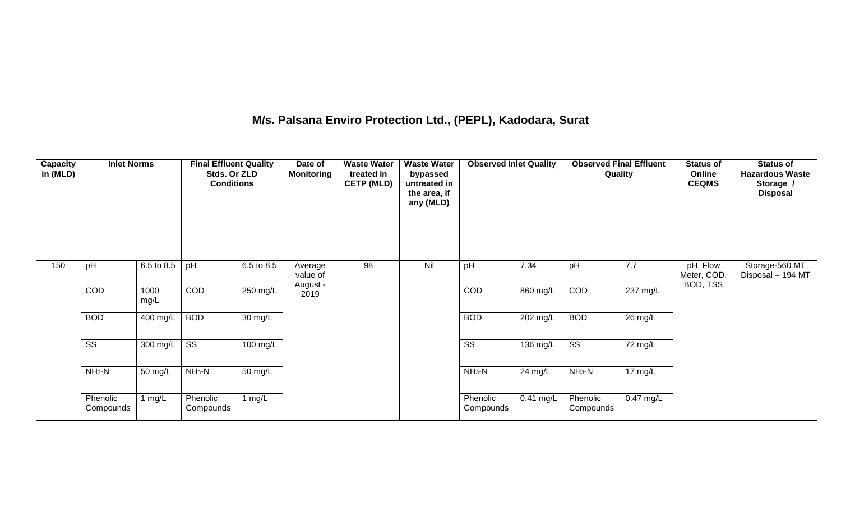## **M/s. Palsana Enviro Protection Ltd., (PEPL), Kadodara, Surat**

| Capacity<br>in (MLD) | <b>Inlet Norms</b>     |              | <b>Final Effluent Quality</b><br>Stds. Or ZLD<br><b>Conditions</b> |                       | Date of<br><b>Monitoring</b>    | <b>Waste Water</b><br>treated in<br><b>CETP (MLD)</b> | <b>Waste Water</b><br>bypassed<br>untreated in<br>the area, if<br>any (MLD) | <b>Observed Inlet Quality</b> |             | <b>Observed Final Effluent</b><br>Quality |           | <b>Status of</b><br>Online<br><b>CEQMS</b> | <b>Status of</b><br><b>Hazardous Waste</b><br>Storage /<br><b>Disposal</b> |
|----------------------|------------------------|--------------|--------------------------------------------------------------------|-----------------------|---------------------------------|-------------------------------------------------------|-----------------------------------------------------------------------------|-------------------------------|-------------|-------------------------------------------|-----------|--------------------------------------------|----------------------------------------------------------------------------|
| 150                  | pH                     | 6.5 to 8.5   | pH                                                                 | 6.5 to 8.5            | Average<br>value of<br>August - | 98                                                    | Nil                                                                         | pH                            | 7.34        | pH                                        | 7.7       | pH, Flow<br>Meter, COD,<br>BOD, TSS        | Storage-560 MT<br>Disposal - 194 MT                                        |
|                      | COD                    | 1000<br>mg/L | COD                                                                | $250$ mg/L            | 2019                            |                                                       |                                                                             | COD                           | 860 mg/L    | COD                                       | 237 mg/L  |                                            |                                                                            |
|                      | <b>BOD</b>             | 400 mg/L     | <b>BOD</b>                                                         | $\overline{30}$ mg/L  |                                 |                                                       |                                                                             | <b>BOD</b>                    | 202 mg/L    | <b>BOD</b>                                | 26 mg/L   |                                            |                                                                            |
|                      | $\overline{\text{ss}}$ | 300 mg/L     | $\overline{\text{ss}}$                                             | $\overline{100}$ mg/L |                                 |                                                       |                                                                             | $\overline{\text{SS}}$        | 136 mg/L    | $\overline{\text{ss}}$                    | 72 mg/L   |                                            |                                                                            |
|                      | $NH3-N$                | 50 mg/L      | $NH_3-N$                                                           | 50 mg/L               |                                 |                                                       |                                                                             | $NH_3-N$                      | 24 mg/L     | $NH_3-N$                                  | 17 mg/L   |                                            |                                                                            |
|                      | Phenolic<br>Compounds  | 1 $mg/L$     | Phenolic<br>Compounds                                              | 1 $mg/L$              |                                 |                                                       |                                                                             | Phenolic<br>Compounds         | $0.41$ mg/L | Phenolic<br>Compounds                     | 0.47 mg/L |                                            |                                                                            |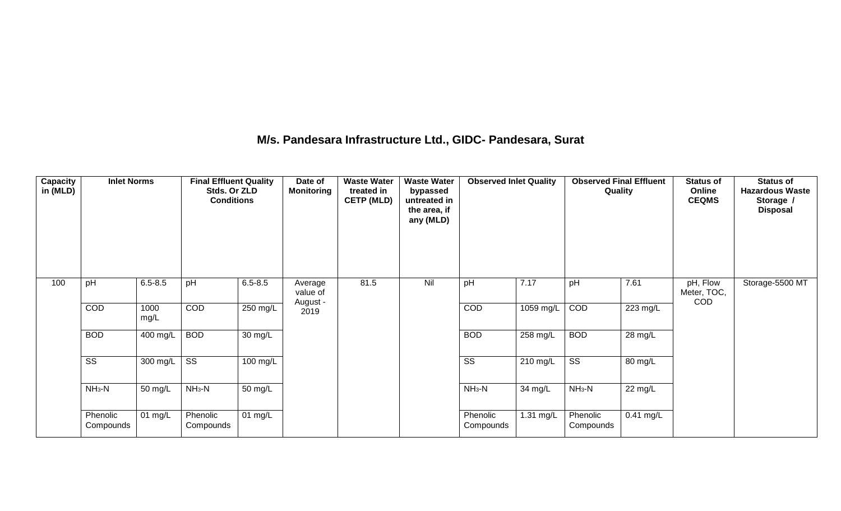### **M/s. Pandesara Infrastructure Ltd., GIDC- Pandesara, Surat**

| Capacity<br>in (MLD) | <b>Inlet Norms</b>     |              | <b>Final Effluent Quality</b><br>Stds. Or ZLD<br><b>Conditions</b> |             | Date of<br><b>Monitoring</b>    | <b>Waste Water</b><br>treated in<br><b>CETP (MLD)</b> | <b>Waste Water</b><br>bypassed<br>untreated in<br>the area, if<br>any (MLD) | <b>Observed Inlet Quality</b> |             | <b>Observed Final Effluent</b><br>Quality |             | <b>Status of</b><br>Online<br><b>CEQMS</b> | <b>Status of</b><br><b>Hazardous Waste</b><br>Storage /<br><b>Disposal</b> |
|----------------------|------------------------|--------------|--------------------------------------------------------------------|-------------|---------------------------------|-------------------------------------------------------|-----------------------------------------------------------------------------|-------------------------------|-------------|-------------------------------------------|-------------|--------------------------------------------|----------------------------------------------------------------------------|
| 100                  | pH                     | $6.5 - 8.5$  | pH                                                                 | $6.5 - 8.5$ | Average<br>value of<br>August - | 81.5                                                  | Nil                                                                         | pH                            | 7.17        | pH                                        | 7.61        | pH, Flow<br>Meter, TOC,<br>COD             | Storage-5500 MT                                                            |
|                      | COD                    | 1000<br>mg/L | COD                                                                | $250$ mg/L  | 2019                            |                                                       |                                                                             | <b>COD</b>                    | $1059$ mg/L | COD                                       | 223 mg/L    |                                            |                                                                            |
|                      | <b>BOD</b>             | 400 mg/L     | <b>BOD</b>                                                         | 30 mg/L     |                                 |                                                       |                                                                             | <b>BOD</b>                    | $258$ mg/L  | <b>BOD</b>                                | 28 mg/L     |                                            |                                                                            |
|                      | $\overline{\text{ss}}$ | 300 mg/L     | $\overline{\text{SS}}$                                             | 100 mg/L    |                                 |                                                       |                                                                             | $\overline{\text{ss}}$        | 210 mg/L    | $\overline{\text{ss}}$                    | 80 mg/L     |                                            |                                                                            |
|                      | $NH3-N$                | 50 mg/L      | $NH_3-N$                                                           | 50 mg/L     |                                 |                                                       |                                                                             | $NH3-N$                       | 34 mg/L     | $NH3-N$                                   | 22 mg/L     |                                            |                                                                            |
|                      | Phenolic<br>Compounds  | 01 mg/L      | Phenolic<br>Compounds                                              | 01 mg/L     |                                 |                                                       |                                                                             | Phenolic<br>Compounds         | 1.31 mg/L   | Phenolic<br>Compounds                     | $0.41$ mg/L |                                            |                                                                            |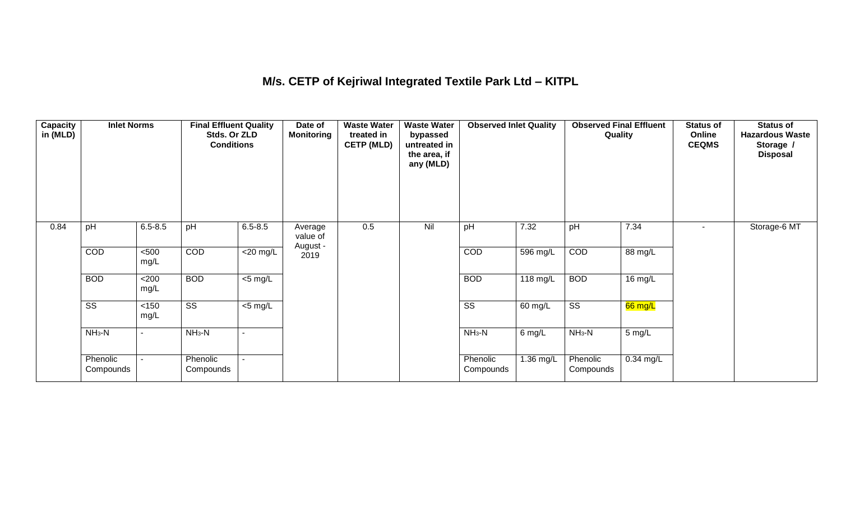## **M/s. CETP of Kejriwal Integrated Textile Park Ltd – KITPL**

| Capacity<br>in (MLD) | <b>Inlet Norms</b>     |                | <b>Final Effluent Quality</b><br>Stds. Or ZLD<br><b>Conditions</b> |                          | Date of<br><b>Monitoring</b> | <b>Waste Water</b><br>treated in<br><b>CETP (MLD)</b> | <b>Waste Water</b><br>bypassed<br>untreated in<br>the area, if<br>any (MLD) | <b>Observed Inlet Quality</b> |                    | <b>Observed Final Effluent</b><br>Quality |             | <b>Status of</b><br>Online<br><b>CEQMS</b> | <b>Status of</b><br><b>Hazardous Waste</b><br>Storage /<br><b>Disposal</b> |
|----------------------|------------------------|----------------|--------------------------------------------------------------------|--------------------------|------------------------------|-------------------------------------------------------|-----------------------------------------------------------------------------|-------------------------------|--------------------|-------------------------------------------|-------------|--------------------------------------------|----------------------------------------------------------------------------|
| 0.84                 | pH                     | $6.5 - 8.5$    | pH                                                                 | $6.5 - 8.5$              | Average<br>value of          | 0.5                                                   | Nil                                                                         | pH                            | 7.32               | pH                                        | 7.34        |                                            | Storage-6 MT                                                               |
|                      | COD                    | < 500<br>mg/L  | <b>COD</b>                                                         | $\overline{\leq}20$ mg/L | August -<br>2019             |                                                       |                                                                             | COD                           | $596$ mg/L         | COD                                       | 88 mg/L     |                                            |                                                                            |
|                      | <b>BOD</b>             | <200<br>mg/L   | <b>BOD</b>                                                         | $\overline{5}$ mg/L      |                              |                                                       |                                                                             | <b>BOD</b>                    | $118 \text{ mg/L}$ | <b>BOD</b>                                | 16 mg/L     |                                            |                                                                            |
|                      | $\overline{\text{ss}}$ | $<150$<br>mg/L | $\overline{\text{ss}}$                                             | $<$ 5 mg/L               |                              |                                                       |                                                                             | $\overline{\text{ss}}$        | 60 mg/L            | $\overline{\text{ss}}$                    | $66$ mg/L   |                                            |                                                                            |
|                      | $NH3-N$                | $\blacksquare$ | $NH_3-N$                                                           |                          |                              |                                                       |                                                                             | $NH3-N$                       | 6 mg/L             | $NH_3-N$                                  | 5 mg/L      |                                            |                                                                            |
|                      | Phenolic<br>Compounds  |                | Phenolic<br>Compounds                                              | $\sim$                   |                              |                                                       |                                                                             | Phenolic<br>Compounds         | 1.36 mg/L          | Phenolic<br>Compounds                     | $0.34$ mg/L |                                            |                                                                            |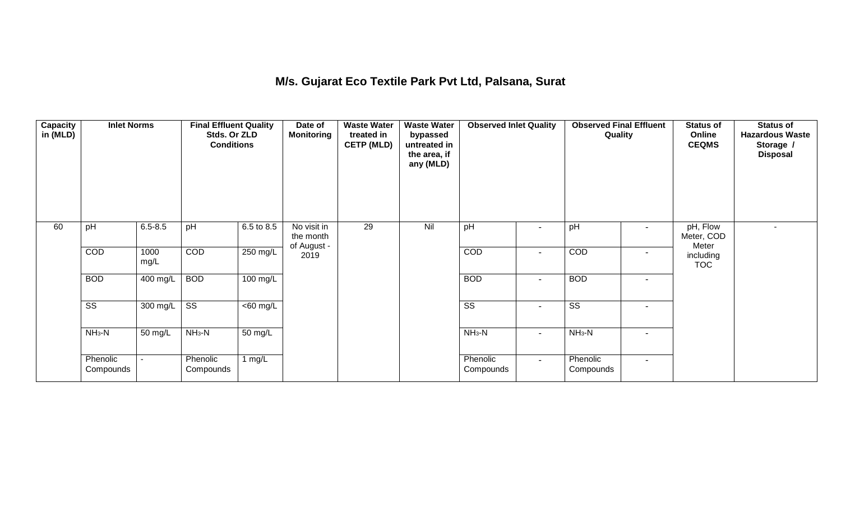## **M/s. Gujarat Eco Textile Park Pvt Ltd, Palsana, Surat**

| Capacity<br>in (MLD) | <b>Inlet Norms</b>     |              | <b>Final Effluent Quality</b><br>Stds. Or ZLD<br><b>Conditions</b> |                      | Date of<br>Monitoring                   | <b>Waste Water</b><br>treated in<br><b>CETP (MLD)</b> | <b>Waste Water</b><br>bypassed<br>untreated in<br>the area, if<br>any (MLD) | <b>Observed Inlet Quality</b> |                          | <b>Observed Final Effluent</b><br>Quality |                          | <b>Status of</b><br>Online<br><b>CEQMS</b> | <b>Status of</b><br><b>Hazardous Waste</b><br>Storage /<br><b>Disposal</b> |
|----------------------|------------------------|--------------|--------------------------------------------------------------------|----------------------|-----------------------------------------|-------------------------------------------------------|-----------------------------------------------------------------------------|-------------------------------|--------------------------|-------------------------------------------|--------------------------|--------------------------------------------|----------------------------------------------------------------------------|
| 60                   | pH                     | $6.5 - 8.5$  | pH                                                                 | 6.5 to 8.5           | No visit in<br>the month<br>of August - | 29                                                    | Nil                                                                         | pH                            | $\blacksquare$           | pH                                        | $\blacksquare$           | pH, Flow<br>Meter, COD<br>Meter            |                                                                            |
|                      | COD                    | 1000<br>mg/L | COD                                                                | 250 mg/L             | 2019                                    |                                                       |                                                                             | COD                           | $\overline{\phantom{a}}$ | COD                                       | $\overline{\phantom{a}}$ | including<br><b>TOC</b>                    |                                                                            |
|                      | <b>BOD</b>             | 400 mg/L     | <b>BOD</b>                                                         | 100 mg/L             |                                         |                                                       |                                                                             | <b>BOD</b>                    | $\blacksquare$           | <b>BOD</b>                                | $\blacksquare$           |                                            |                                                                            |
|                      | $\overline{\text{ss}}$ | 300 mg/L     | $\overline{\text{ss}}$                                             | $\overline{60}$ mg/L |                                         |                                                       |                                                                             | $\overline{\text{ss}}$        | $\overline{\phantom{a}}$ | $\overline{\text{ss}}$                    | $\overline{\phantom{a}}$ |                                            |                                                                            |
|                      | $NH3-N$                | 50 mg/L      | $NH3-N$                                                            | 50 mg/L              |                                         |                                                       |                                                                             | $NH3-N$                       | $\blacksquare$           | $NH3-N$                                   | $\overline{\phantom{a}}$ |                                            |                                                                            |
|                      | Phenolic<br>Compounds  |              | Phenolic<br>Compounds                                              | 1 $mg/L$             |                                         |                                                       |                                                                             | Phenolic<br>Compounds         | $\blacksquare$           | Phenolic<br>Compounds                     | $\blacksquare$           |                                            |                                                                            |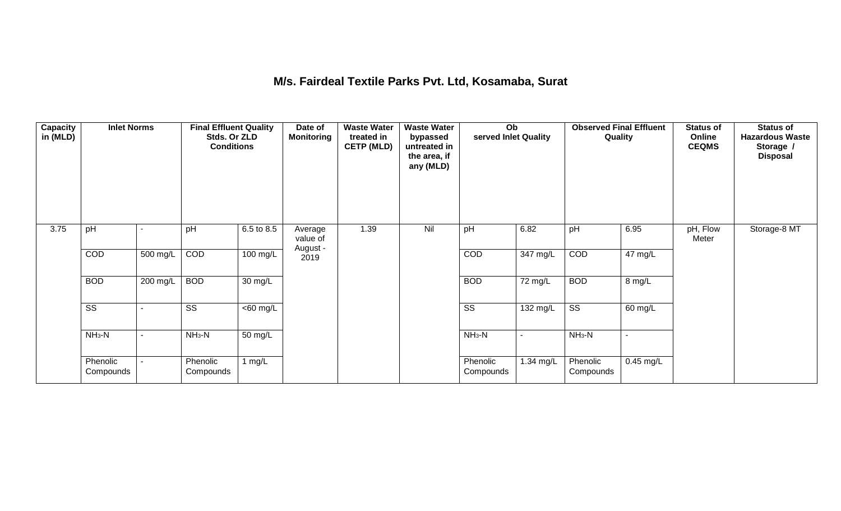### **M/s. Fairdeal Textile Parks Pvt. Ltd, Kosamaba, Surat**

| <b>Capacity</b><br>in (MLD) | <b>Inlet Norms</b>     |          | <b>Final Effluent Quality</b><br>Stds. Or ZLD<br><b>Conditions</b> |                      | Date of<br><b>Monitoring</b>    | <b>Waste Water</b><br>treated in<br><b>CETP (MLD)</b> | <b>Waste Water</b><br>bypassed<br>untreated in<br>the area, if<br>any (MLD) | Ob<br>served Inlet Quality |                    | <b>Observed Final Effluent</b><br>Quality |             | <b>Status of</b><br>Online<br><b>CEQMS</b> | <b>Status of</b><br><b>Hazardous Waste</b><br>Storage /<br><b>Disposal</b> |
|-----------------------------|------------------------|----------|--------------------------------------------------------------------|----------------------|---------------------------------|-------------------------------------------------------|-----------------------------------------------------------------------------|----------------------------|--------------------|-------------------------------------------|-------------|--------------------------------------------|----------------------------------------------------------------------------|
| 3.75                        | pH                     |          | pH                                                                 | 6.5 to 8.5           | Average<br>value of<br>August - | 1.39                                                  | Nil                                                                         | pH                         | 6.82               | pH                                        | 6.95        | pH, Flow<br>Meter                          | Storage-8 MT                                                               |
|                             | COD                    | 500 mg/L | COD                                                                | 100 mg/L             | 2019                            |                                                       |                                                                             | COD                        | $347 \text{ mg/L}$ | COD                                       | 47 mg/L     |                                            |                                                                            |
|                             | <b>BOD</b>             | 200 mg/L | <b>BOD</b>                                                         | $\overline{30}$ mg/L |                                 |                                                       |                                                                             | <b>BOD</b>                 | 72 mg/L            | <b>BOD</b>                                | 8 mg/L      |                                            |                                                                            |
|                             | $\overline{\text{ss}}$ |          | $\overline{\text{ss}}$                                             | $\overline{60}$ mg/L |                                 |                                                       |                                                                             | $\overline{\text{ss}}$     | 132 mg/L           | $\overline{\text{ss}}$                    | 60 mg/L     |                                            |                                                                            |
|                             | $NH3-N$                |          | $NH3-N$                                                            | $\overline{50}$ mg/L |                                 |                                                       |                                                                             | $NH3-N$                    | $\blacksquare$     | $NH3-N$                                   |             |                                            |                                                                            |
|                             | Phenolic<br>Compounds  |          | Phenolic<br>Compounds                                              | 1 $mg/L$             |                                 |                                                       |                                                                             | Phenolic<br>Compounds      | 1.34 mg/L          | Phenolic<br>Compounds                     | $0.45$ mg/L |                                            |                                                                            |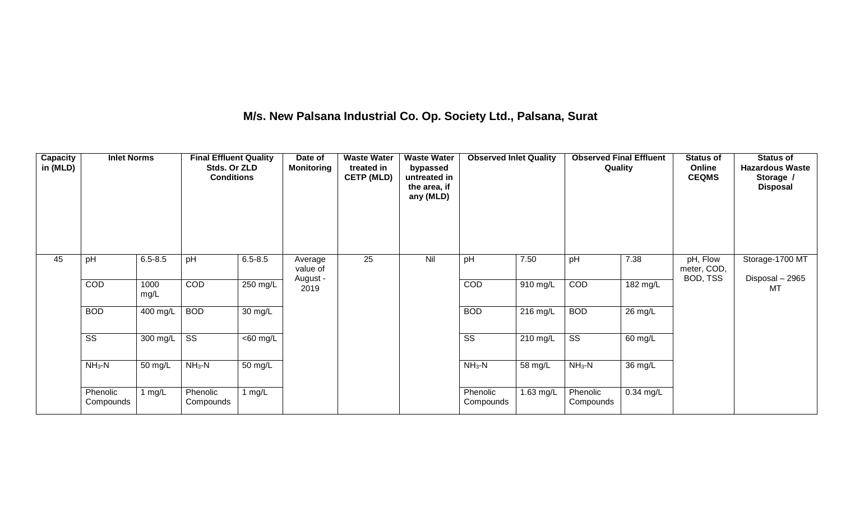## **M/s. New Palsana Industrial Co. Op. Society Ltd., Palsana, Surat**

| <b>Capacity</b><br>in (MLD) | <b>Inlet Norms</b>     |              | <b>Final Effluent Quality</b><br>Stds. Or ZLD<br><b>Conditions</b> |                      | Date of<br><b>Monitoring</b>    | <b>Waste Water</b><br>treated in<br><b>CETP (MLD)</b> | <b>Waste Water</b><br>bypassed<br>untreated in<br>the area, if<br>any (MLD) | <b>Observed Inlet Quality</b> |           | <b>Observed Final Effluent</b><br>Quality |                   | <b>Status of</b><br>Online<br><b>CEQMS</b> | <b>Status of</b><br><b>Hazardous Waste</b><br>Storage /<br><b>Disposal</b> |
|-----------------------------|------------------------|--------------|--------------------------------------------------------------------|----------------------|---------------------------------|-------------------------------------------------------|-----------------------------------------------------------------------------|-------------------------------|-----------|-------------------------------------------|-------------------|--------------------------------------------|----------------------------------------------------------------------------|
| 45                          | pH                     | $6.5 - 8.5$  | pH                                                                 | $6.5 - 8.5$          | Average<br>value of<br>August - | 25                                                    | Nil                                                                         | pH                            | 7.50      | pH                                        | 7.38              | pH, Flow<br>meter, COD,<br>BOD, TSS        | Storage-1700 MT<br>Disposal - 2965                                         |
|                             | COD                    | 1000<br>mg/L | COD                                                                | 250 mg/L             | 2019                            |                                                       |                                                                             | COD                           | 910 mg/L  | COD                                       | 182 mg/L          |                                            | MT                                                                         |
|                             | <b>BOD</b>             | 400 mg/L     | <b>BOD</b>                                                         | $\overline{30}$ mg/L |                                 |                                                       |                                                                             | <b>BOD</b>                    | 216 mg/L  | <b>BOD</b>                                | 26 mg/L           |                                            |                                                                            |
|                             | $\overline{\text{ss}}$ | 300 mg/L     | $\overline{\text{SS}}$                                             | $<$ 60 mg/L          |                                 |                                                       |                                                                             | $\overline{\text{ss}}$        | 210 mg/L  | $\overline{\text{ss}}$                    | 60 mg/L           |                                            |                                                                            |
|                             | $NH3-N$                | 50 mg/L      | $NH_3-N$                                                           | 50 mg/L              |                                 |                                                       |                                                                             | $NH3-N$                       | 58 mg/L   | $NH3-N$                                   | $36 \text{ mg/L}$ |                                            |                                                                            |
|                             | Phenolic<br>Compounds  | mg/L         | Phenolic<br>Compounds                                              | 1 $mg/L$             |                                 |                                                       |                                                                             | Phenolic<br>Compounds         | 1.63 mg/L | Phenolic<br>Compounds                     | $0.34$ mg/L       |                                            |                                                                            |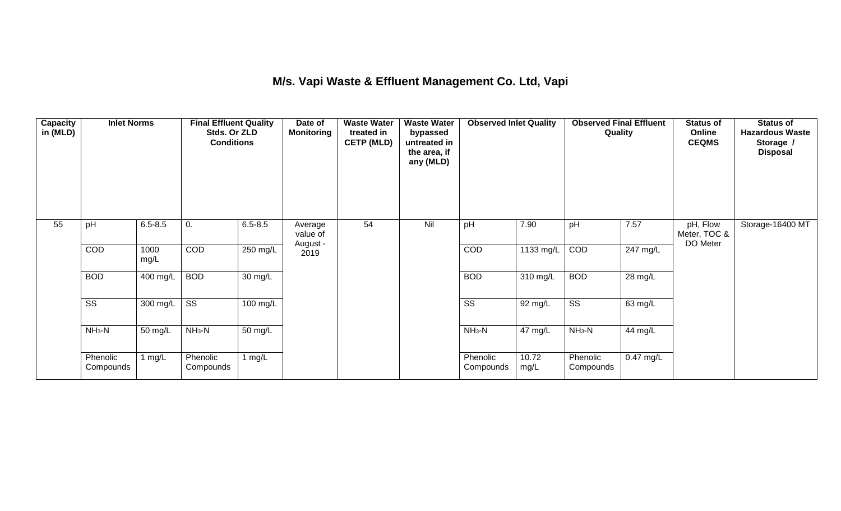## **M/s. Vapi Waste & Effluent Management Co. Ltd, Vapi**

| <b>Capacity</b><br>in (MLD) | <b>Inlet Norms</b><br>Stds. Or ZLD<br><b>Conditions</b> |              | <b>Final Effluent Quality</b> | Date of<br><b>Monitoring</b> | <b>Waste Water</b><br>treated in<br><b>CETP (MLD)</b> | <b>Waste Water</b><br>bypassed<br>untreated in<br>the area, if<br>any (MLD) | <b>Observed Inlet Quality</b> |                        | <b>Observed Final Effluent</b><br>Quality |                        | <b>Status of</b><br>Online<br><b>CEQMS</b> | <b>Status of</b><br><b>Hazardous Waste</b><br>Storage /<br><b>Disposal</b> |                  |
|-----------------------------|---------------------------------------------------------|--------------|-------------------------------|------------------------------|-------------------------------------------------------|-----------------------------------------------------------------------------|-------------------------------|------------------------|-------------------------------------------|------------------------|--------------------------------------------|----------------------------------------------------------------------------|------------------|
| 55                          | pH                                                      | $6.5 - 8.5$  | 0.                            | $6.5 - 8.5$                  | Average<br>value of<br>August -                       | 54                                                                          | Nil                           | pH                     | 7.90                                      | pH                     | 7.57                                       | pH, Flow<br>Meter, TOC &<br>DO Meter                                       | Storage-16400 MT |
|                             | COD                                                     | 1000<br>mg/L | <b>COD</b>                    | 250 mg/L                     | 2019                                                  |                                                                             |                               | COD                    | 1133 mg/L                                 | COD                    | $\overline{247}$ mg/L                      |                                                                            |                  |
|                             | <b>BOD</b>                                              | 400 mg/L     | <b>BOD</b>                    | $\overline{30}$ mg/L         |                                                       |                                                                             |                               | <b>BOD</b>             | $310$ mg/L                                | <b>BOD</b>             | 28 mg/L                                    |                                                                            |                  |
|                             | $\overline{\text{ss}}$                                  | 300 mg/L     | $\overline{\text{SS}}$        | 100 mg/L                     |                                                       |                                                                             |                               | $\overline{\text{SS}}$ | 92 mg/L                                   | $\overline{\text{ss}}$ | 63 mg/L                                    |                                                                            |                  |
|                             | $NH3-N$                                                 | 50 mg/L      | $NH3-N$                       | 50 mg/L                      |                                                       |                                                                             |                               | $NH3-N$                | 47 mg/L                                   | $NH3-N$                | 44 mg/L                                    |                                                                            |                  |
|                             | Phenolic<br>Compounds                                   | 1 $mg/L$     | Phenolic<br>Compounds         | 1 $mg/L$                     |                                                       |                                                                             |                               | Phenolic<br>Compounds  | 10.72<br>mg/L                             | Phenolic<br>Compounds  | $0.47$ mg/L                                |                                                                            |                  |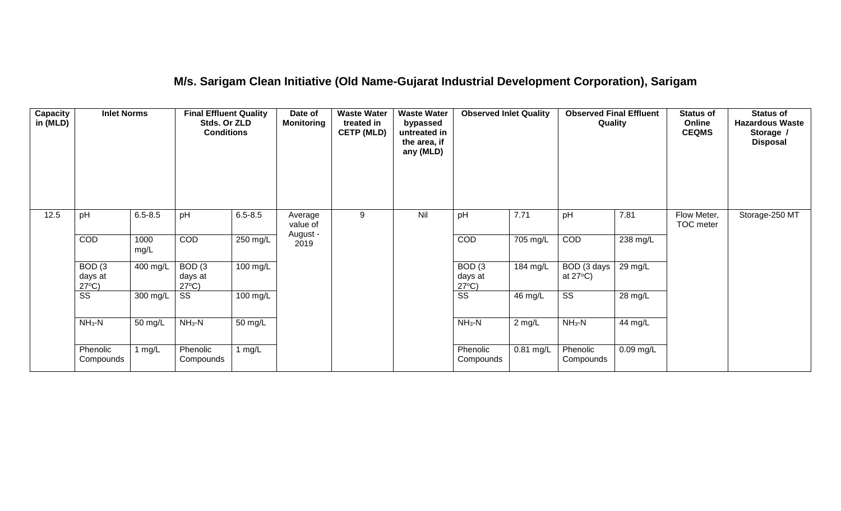## **M/s. Sarigam Clean Initiative (Old Name-Gujarat Industrial Development Corporation), Sarigam**

| Capacity<br>in (MLD) | <b>Inlet Norms</b>                              |              | <b>Final Effluent Quality</b><br>Stds. Or ZLD<br><b>Conditions</b> |                      | <b>Waste Water</b><br><b>Waste Water</b><br>Date of<br><b>Monitoring</b><br>treated in<br>bypassed<br><b>CETP (MLD)</b><br>untreated in<br>the area, if<br>any (MLD) |   | <b>Observed Inlet Quality</b> |                                                 | <b>Observed Final Effluent</b><br>Quality |                                   | <b>Status of</b><br>Online<br><b>CEQMS</b> | <b>Status of</b><br><b>Hazardous Waste</b><br>Storage /<br><b>Disposal</b> |                |
|----------------------|-------------------------------------------------|--------------|--------------------------------------------------------------------|----------------------|----------------------------------------------------------------------------------------------------------------------------------------------------------------------|---|-------------------------------|-------------------------------------------------|-------------------------------------------|-----------------------------------|--------------------------------------------|----------------------------------------------------------------------------|----------------|
| 12.5                 | pH                                              | $6.5 - 8.5$  | pH                                                                 | $6.5 - 8.5$          | Average<br>value of                                                                                                                                                  | 9 | Nil                           | pH                                              | 7.71                                      | pH                                | 7.81                                       | Flow Meter,<br>TOC meter                                                   | Storage-250 MT |
|                      | COD                                             | 1000<br>mg/L | <b>COD</b>                                                         | 250 mg/L             | August -<br>2019                                                                                                                                                     |   |                               | COD                                             | 705 mg/L                                  | COD                               | 238 mg/L                                   |                                                                            |                |
|                      | BOD <sub>(3</sub><br>days at<br>$27^{\circ}C$ ) | 400 mg/L     | BOD(3)<br>days at<br>$27^{\circ}C$ )                               | $100 \text{ mg/L}$   |                                                                                                                                                                      |   |                               | BOD <sub>(3</sub><br>days at<br>$27^{\circ}C$ ) | 184 mg/L                                  | BOD (3 days<br>at $27^{\circ}$ C) | 29 mg/L                                    |                                                                            |                |
|                      | SS                                              | 300 mg/L     | SS                                                                 | 100 mg/L             |                                                                                                                                                                      |   |                               | $\overline{\text{ss}}$                          | 46 mg/L                                   | $\overline{\text{SS}}$            | 28 mg/L                                    |                                                                            |                |
|                      | $NH3-N$                                         | 50 mg/L      | $NH3-N$                                                            | $\overline{50}$ mg/L |                                                                                                                                                                      |   |                               | $NH3-N$                                         | $2$ mg/L                                  | $NH3-N$                           | 44 mg/L                                    |                                                                            |                |
|                      | Phenolic<br>Compounds                           | 1 mg/L       | Phenolic<br>Compounds                                              | 1 $mg/L$             |                                                                                                                                                                      |   |                               | Phenolic<br>Compounds                           | $0.81$ mg/L                               | Phenolic<br>Compounds             | 0.09 mg/L                                  |                                                                            |                |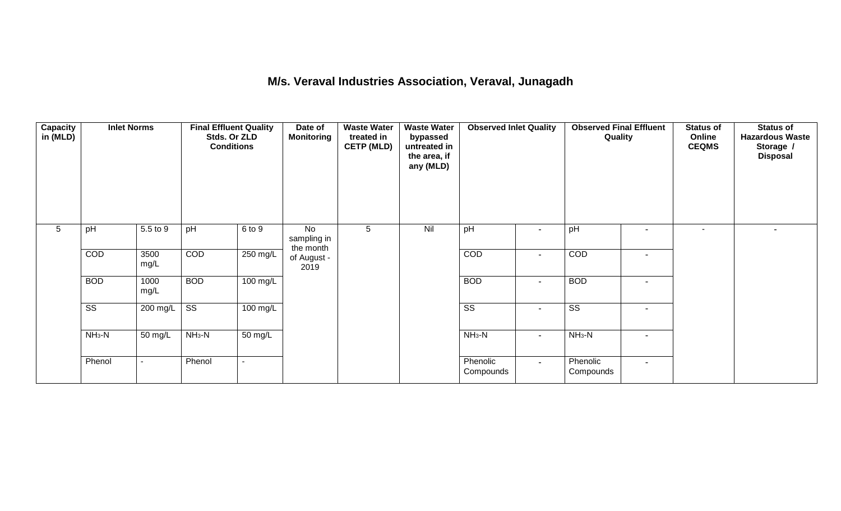### **M/s. Veraval Industries Association, Veraval, Junagadh**

| <b>Capacity</b><br>in (MLD) | <b>Inlet Norms</b><br>5.5 to 9<br>pH |                          | <b>Final Effluent Quality</b><br>Stds. Or ZLD<br><b>Conditions</b> |                      | Date of<br><b>Monitoring</b>   | <b>Waste Water</b><br>treated in<br><b>CETP (MLD)</b> | <b>Waste Water</b><br>bypassed<br>untreated in<br>the area, if<br>any (MLD) | <b>Observed Inlet Quality</b> |                          | <b>Observed Final Effluent</b><br>Quality |                          | <b>Status of</b><br>Online<br><b>CEQMS</b> | <b>Status of</b><br><b>Hazardous Waste</b><br>Storage /<br><b>Disposal</b> |
|-----------------------------|--------------------------------------|--------------------------|--------------------------------------------------------------------|----------------------|--------------------------------|-------------------------------------------------------|-----------------------------------------------------------------------------|-------------------------------|--------------------------|-------------------------------------------|--------------------------|--------------------------------------------|----------------------------------------------------------------------------|
| 5                           |                                      |                          | pH                                                                 | 6 to 9               | No<br>sampling in<br>the month | 5                                                     | Nil                                                                         | pH                            | $\blacksquare$           | pH                                        | $\blacksquare$           | $\overline{\phantom{a}}$                   |                                                                            |
|                             | COD                                  | 3500<br>mg/L             | COD                                                                | 250 mg/L             | of August -<br>2019            |                                                       |                                                                             | COD                           | $\overline{\phantom{a}}$ | COD                                       | $\overline{\phantom{a}}$ |                                            |                                                                            |
|                             | <b>BOD</b>                           | 1000<br>mg/L             | <b>BOD</b>                                                         | $100 \text{ mg/L}$   |                                |                                                       |                                                                             | <b>BOD</b>                    | $\blacksquare$           | <b>BOD</b>                                | $\blacksquare$           |                                            |                                                                            |
|                             | $\overline{\text{ss}}$               | 200 mg/L                 | $\overline{\text{ss}}$                                             | $100 \text{ mg/L}$   |                                |                                                       |                                                                             | $\overline{\text{ss}}$        | $\overline{\phantom{a}}$ | $\overline{\text{ss}}$                    | $\overline{\phantom{a}}$ |                                            |                                                                            |
|                             | $NH3-N$                              | 50 mg/L                  | $NH3-N$                                                            | $\overline{50}$ mg/L |                                |                                                       |                                                                             | $NH_3-N$                      | $\blacksquare$           | $NH3-N$                                   | $\blacksquare$           |                                            |                                                                            |
|                             | Phenol                               | $\overline{\phantom{a}}$ | Phenol                                                             |                      |                                |                                                       |                                                                             | Phenolic<br>Compounds         | $\sim$                   | Phenolic<br>Compounds                     | $\sim$                   |                                            |                                                                            |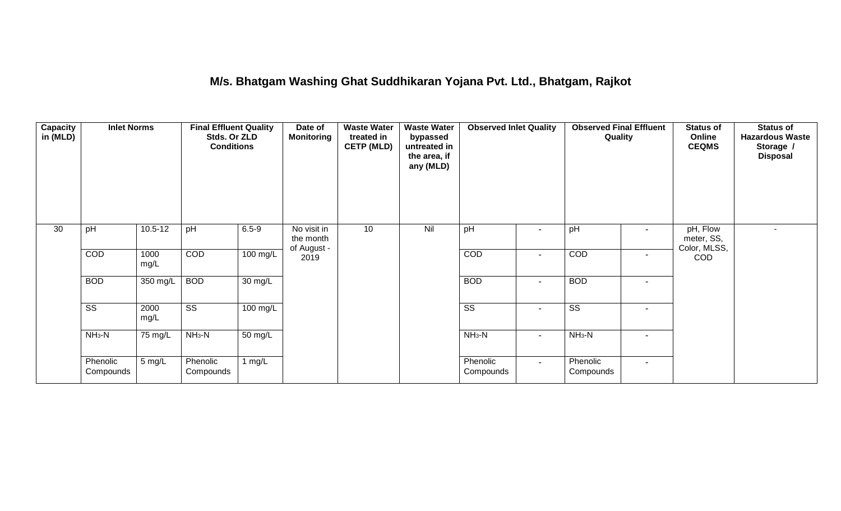### **M/s. Bhatgam Washing Ghat Suddhikaran Yojana Pvt. Ltd., Bhatgam, Rajkot**

| <b>Capacity</b><br>in (MLD) | <b>Inlet Norms</b>     | <b>Final Effluent Quality</b><br>Stds. Or ZLD<br><b>Conditions</b> |                        |                    | Date of<br><b>Monitoring</b>            | <b>Waste Water</b><br>treated in<br><b>CETP (MLD)</b> | <b>Waste Water</b><br>bypassed<br>untreated in<br>the area, if<br>any (MLD) | <b>Observed Inlet Quality</b> |                          | <b>Observed Final Effluent</b><br>Quality |                          | <b>Status of</b><br>Online<br><b>CEQMS</b> | <b>Status of</b><br><b>Hazardous Waste</b><br>Storage /<br><b>Disposal</b> |
|-----------------------------|------------------------|--------------------------------------------------------------------|------------------------|--------------------|-----------------------------------------|-------------------------------------------------------|-----------------------------------------------------------------------------|-------------------------------|--------------------------|-------------------------------------------|--------------------------|--------------------------------------------|----------------------------------------------------------------------------|
| 30                          | pH                     | $10.5 - 12$                                                        | pH                     | $6.5 - 9$          | No visit in<br>the month<br>of August - | 10                                                    | Nil                                                                         | pH                            | $\overline{\phantom{a}}$ | pH                                        | $\overline{\phantom{a}}$ | pH, Flow<br>meter, SS,<br>Color, MLSS,     | ۰                                                                          |
|                             | COD                    | 1000<br>mg/L                                                       | COD                    | 100 mg/L           | 2019                                    |                                                       |                                                                             | COD                           | $\overline{\phantom{a}}$ | COD                                       | $\overline{\phantom{a}}$ | <b>COD</b>                                 |                                                                            |
|                             | <b>BOD</b>             | 350 mg/L                                                           | <b>BOD</b>             | 30 mg/L            |                                         |                                                       |                                                                             | <b>BOD</b>                    | $\blacksquare$           | <b>BOD</b>                                | $\overline{\phantom{a}}$ |                                            |                                                                            |
|                             | $\overline{\text{ss}}$ | 2000<br>mg/L                                                       | $\overline{\text{ss}}$ | $100 \text{ mg/L}$ |                                         |                                                       |                                                                             | $\overline{\text{ss}}$        | $\blacksquare$           | $\overline{\text{ss}}$                    | $\overline{\phantom{a}}$ |                                            |                                                                            |
|                             | $NH3-N$                | $75 \text{ mg/L}$                                                  | $NH3-N$                | 50 mg/L            |                                         |                                                       |                                                                             | $NH3-N$                       | $\blacksquare$           | $NH3-N$                                   | $\blacksquare$           |                                            |                                                                            |
|                             | Phenolic<br>Compounds  | 5 mg/L                                                             | Phenolic<br>Compounds  | 1 $mg/L$           |                                         |                                                       |                                                                             | Phenolic<br>Compounds         | $\sim$                   | Phenolic<br>Compounds                     | $\blacksquare$           |                                            |                                                                            |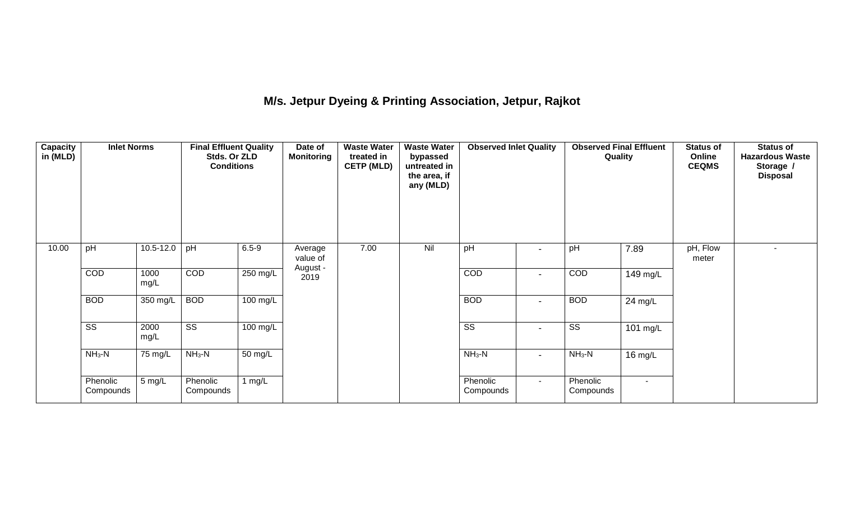# **M/s. Jetpur Dyeing & Printing Association, Jetpur, Rajkot**

| <b>Capacity</b><br>in (MLD) | <b>Inlet Norms</b>     |               | <b>Final Effluent Quality</b><br>Stds. Or ZLD<br><b>Conditions</b> |            | Date of<br><b>Monitoring</b> | <b>Waste Water</b><br>treated in<br><b>CETP (MLD)</b> | <b>Waste Water</b><br>bypassed<br>untreated in<br>the area, if<br>any (MLD) | <b>Observed Inlet Quality</b> |                          | <b>Observed Final Effluent</b><br>Quality |          | <b>Status of</b><br>Online<br><b>CEQMS</b> | <b>Status of</b><br><b>Hazardous Waste</b><br>Storage /<br><b>Disposal</b> |
|-----------------------------|------------------------|---------------|--------------------------------------------------------------------|------------|------------------------------|-------------------------------------------------------|-----------------------------------------------------------------------------|-------------------------------|--------------------------|-------------------------------------------|----------|--------------------------------------------|----------------------------------------------------------------------------|
| 10.00                       | pH                     | $10.5 - 12.0$ | pH                                                                 | $6.5 - 9$  | Average<br>value of          | 7.00                                                  | Nil                                                                         | pH                            | $\overline{\phantom{0}}$ | pH                                        | 7.89     | pH, Flow<br>meter                          |                                                                            |
|                             | COD                    | 1000<br>mg/L  | COD                                                                | $250$ mg/L | August -<br>2019             |                                                       |                                                                             | COD                           | $\overline{\phantom{a}}$ | COD                                       | 149 mg/L |                                            |                                                                            |
|                             | <b>BOD</b>             | 350 mg/L      | <b>BOD</b>                                                         | $100$ mg/L |                              |                                                       |                                                                             | <b>BOD</b>                    | $\blacksquare$           | <b>BOD</b>                                | 24 mg/L  |                                            |                                                                            |
|                             | $\overline{\text{SS}}$ | 2000<br>mg/L  | $\overline{\text{ss}}$                                             | 100 mg/L   |                              |                                                       |                                                                             | $\overline{\text{SS}}$        | $\blacksquare$           | $\overline{\text{SS}}$                    | 101 mg/L |                                            |                                                                            |
|                             | $NH3-N$                | 75 mg/L       | $NH_3-N$                                                           | 50 mg/L    |                              |                                                       |                                                                             | $NH_3-N$                      | $\overline{\phantom{a}}$ | $NH_3-N$                                  | 16 mg/L  |                                            |                                                                            |
|                             | Phenolic<br>Compounds  | 5 mg/L        | Phenolic<br>Compounds                                              | 1 $mg/L$   |                              |                                                       |                                                                             | Phenolic<br>Compounds         | $\sim$                   | Phenolic<br>Compounds                     | $\sim$   |                                            |                                                                            |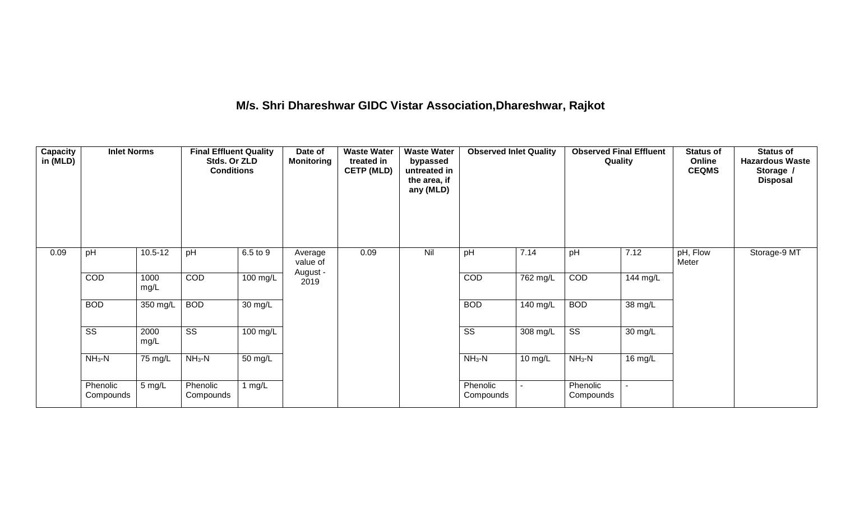# **M/s. Shri Dhareshwar GIDC Vistar Association,Dhareshwar, Rajkot**

| Capacity<br>in (MLD) | <b>Inlet Norms</b><br>pH<br>$10.5 - 12$ |              | <b>Final Effluent Quality</b><br>Stds. Or ZLD<br><b>Conditions</b> |                       | Date of<br><b>Monitoring</b> | treated in<br><b>CETP (MLD)</b><br>0.09<br>Average<br>value of | <b>Waste Water</b><br>bypassed<br>untreated in<br>the area, if<br>any (MLD) | <b>Observed Inlet Quality</b> |          | <b>Observed Final Effluent</b><br>Quality |          | <b>Status of</b><br>Online<br><b>CEQMS</b> | <b>Status of</b><br><b>Hazardous Waste</b><br>Storage /<br><b>Disposal</b> |
|----------------------|-----------------------------------------|--------------|--------------------------------------------------------------------|-----------------------|------------------------------|----------------------------------------------------------------|-----------------------------------------------------------------------------|-------------------------------|----------|-------------------------------------------|----------|--------------------------------------------|----------------------------------------------------------------------------|
| 0.09                 |                                         |              | pH                                                                 | 6.5 to 9              |                              |                                                                | Nil                                                                         | pH                            | 7.14     | pH                                        | 7.12     | pH, Flow<br>Meter                          | Storage-9 MT                                                               |
|                      | COD                                     | 1000<br>mg/L | COD                                                                | $100 \text{ mg/L}$    | August -<br>2019             |                                                                |                                                                             | COD                           | 762 mg/L | <b>COD</b>                                | 144 mg/L |                                            |                                                                            |
|                      | <b>BOD</b>                              | $350$ mg/L   | <b>BOD</b>                                                         | 30 mg/L               |                              |                                                                |                                                                             | <b>BOD</b>                    | 140 mg/L | <b>BOD</b>                                | 38 mg/L  |                                            |                                                                            |
|                      | $\overline{\text{ss}}$                  | 2000<br>mg/L | $\overline{\text{ss}}$                                             | $\overline{100}$ mg/L |                              |                                                                |                                                                             | $\overline{\text{ss}}$        | 308 mg/L | $\overline{\text{ss}}$                    | 30 mg/L  |                                            |                                                                            |
|                      | $NH3-N$                                 | 75 mg/L      | $NH3-N$                                                            | $\overline{50}$ mg/L  |                              |                                                                |                                                                             | $NH3-N$                       | 10 mg/L  | $NH3-N$                                   | 16 mg/L  |                                            |                                                                            |
|                      | Phenolic<br>Compounds                   | 5 mg/L       | Phenolic<br>Compounds                                              | 1 $mg/L$              |                              |                                                                |                                                                             | Phenolic<br>Compounds         |          | Phenolic<br>Compounds                     |          |                                            |                                                                            |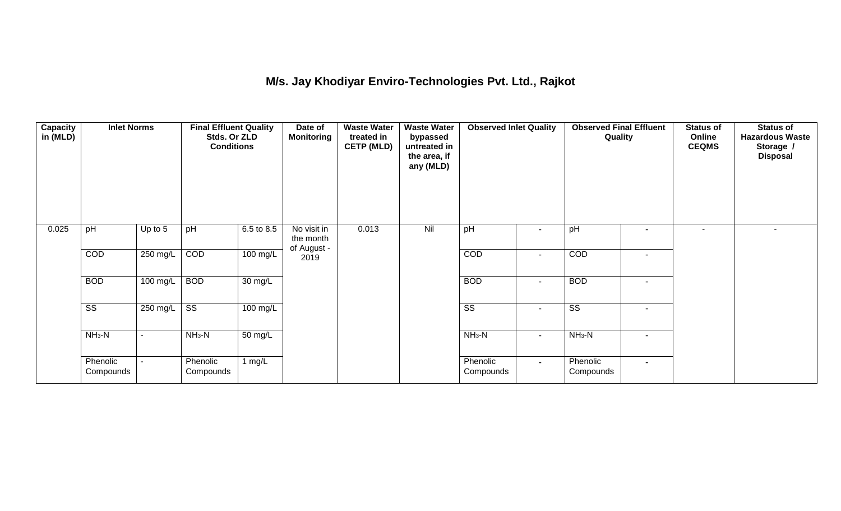## **M/s. Jay Khodiyar Enviro-Technologies Pvt. Ltd., Rajkot**

| <b>Capacity</b><br>in (MLD) | <b>Inlet Norms</b><br>pH<br>Up to 5 |                          | <b>Final Effluent Quality</b><br>Stds. Or ZLD<br><b>Conditions</b> |                    | Date of<br>Monitoring                   | <b>Waste Water</b><br>treated in<br><b>CETP (MLD)</b> | <b>Waste Water</b><br>bypassed<br>untreated in<br>the area, if<br>any (MLD) | <b>Observed Inlet Quality</b> |                          | <b>Observed Final Effluent</b><br>Quality |                          | <b>Status of</b><br>Online<br><b>CEQMS</b> | <b>Status of</b><br><b>Hazardous Waste</b><br>Storage /<br><b>Disposal</b> |
|-----------------------------|-------------------------------------|--------------------------|--------------------------------------------------------------------|--------------------|-----------------------------------------|-------------------------------------------------------|-----------------------------------------------------------------------------|-------------------------------|--------------------------|-------------------------------------------|--------------------------|--------------------------------------------|----------------------------------------------------------------------------|
| 0.025                       |                                     |                          | pH                                                                 | 6.5 to 8.5         | No visit in<br>the month<br>of August - | 0.013                                                 | Nil                                                                         | pH                            |                          | pH                                        | $\overline{\phantom{a}}$ | ٠                                          |                                                                            |
|                             | COD                                 | $250$ mg/L               | COD                                                                | $100 \text{ mg/L}$ | 2019                                    |                                                       |                                                                             | COD                           | $\overline{\phantom{a}}$ | COD                                       | $\overline{\phantom{a}}$ |                                            |                                                                            |
|                             | <b>BOD</b>                          | 100 mg/L                 | <b>BOD</b>                                                         | 30 mg/L            |                                         |                                                       |                                                                             | <b>BOD</b>                    | $\overline{\phantom{a}}$ | <b>BOD</b>                                | $\overline{\phantom{a}}$ |                                            |                                                                            |
|                             | $\overline{\text{ss}}$              | 250 mg/L                 | $\overline{\text{ss}}$                                             | $100 \text{ mg/L}$ |                                         |                                                       |                                                                             | $\overline{\text{ss}}$        | $\blacksquare$           | $\overline{\text{ss}}$                    | $\overline{\phantom{a}}$ |                                            |                                                                            |
|                             | $NH3-N$                             | $\overline{\phantom{a}}$ | $NH3-N$                                                            | 50 mg/L            |                                         |                                                       |                                                                             | $NH3-N$                       | $\blacksquare$           | $NH3-N$                                   | $\overline{\phantom{a}}$ |                                            |                                                                            |
|                             | Phenolic<br>Compounds               |                          | Phenolic<br>Compounds                                              | 1 $mg/L$           |                                         |                                                       |                                                                             | Phenolic<br>Compounds         | $\sim$                   | Phenolic<br>Compounds                     | $\overline{\phantom{a}}$ |                                            |                                                                            |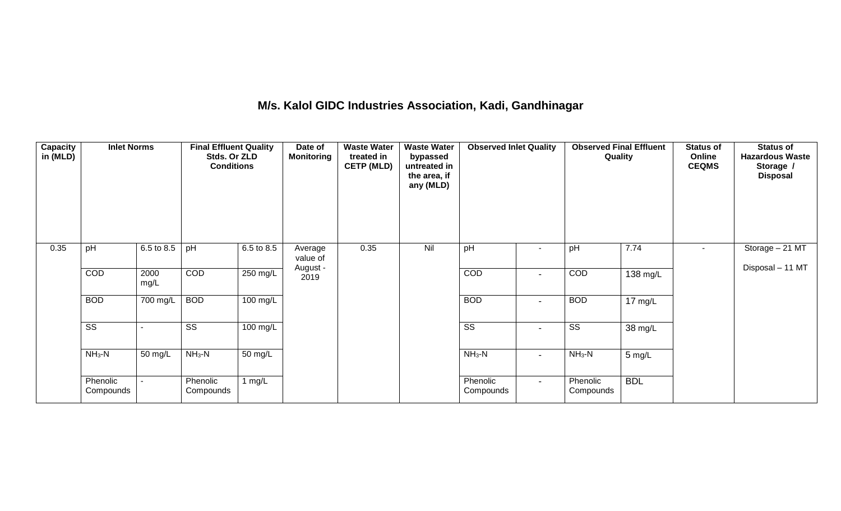### **M/s. Kalol GIDC Industries Association, Kadi, Gandhinagar**

| <b>Capacity</b><br>in (MLD) | <b>Inlet Norms</b>     |              | <b>Final Effluent Quality</b><br>Stds. Or ZLD<br><b>Conditions</b> |                    | Date of<br><b>Monitoring</b> | <b>Waste Water</b><br>treated in<br><b>CETP (MLD)</b> | <b>Waste Water</b><br>bypassed<br>untreated in<br>the area, if<br>any (MLD) | <b>Observed Inlet Quality</b> |                | <b>Observed Final Effluent</b><br>Quality |                      | <b>Status of</b><br>Online<br><b>CEQMS</b> | <b>Status of</b><br><b>Hazardous Waste</b><br>Storage /<br><b>Disposal</b> |
|-----------------------------|------------------------|--------------|--------------------------------------------------------------------|--------------------|------------------------------|-------------------------------------------------------|-----------------------------------------------------------------------------|-------------------------------|----------------|-------------------------------------------|----------------------|--------------------------------------------|----------------------------------------------------------------------------|
| 0.35                        | pH                     | 6.5 to 8.5   | pH                                                                 | 6.5 to 8.5         | Average<br>value of          | 0.35                                                  | Nil                                                                         | pH                            |                | pH                                        | 7.74                 | ٠                                          | Storage - 21 MT<br>Disposal - 11 MT                                        |
|                             | COD                    | 2000<br>mg/L | COD                                                                | 250 mg/L           | August -<br>2019             |                                                       |                                                                             | COD                           | $\blacksquare$ | COD                                       | 138 mg/L             |                                            |                                                                            |
|                             | <b>BOD</b>             | 700 mg/L     | <b>BOD</b>                                                         | $100 \text{ mg/L}$ |                              |                                                       |                                                                             | <b>BOD</b>                    | $\blacksquare$ | <b>BOD</b>                                | $\overline{17}$ mg/L |                                            |                                                                            |
|                             | $\overline{\text{ss}}$ |              | $\overline{\text{SS}}$                                             | $100 \text{ mg/L}$ |                              |                                                       |                                                                             | $\overline{\text{ss}}$        | $\blacksquare$ | $\overline{\text{ss}}$                    | $38 \,\mathrm{mg/L}$ |                                            |                                                                            |
|                             | $NH3-N$                | 50 mg/L      | $NH3-N$                                                            | 50 mg/L            |                              |                                                       |                                                                             | $NH_3-N$                      | $\blacksquare$ | $NH3-N$                                   | $5 \text{ mg/L}$     |                                            |                                                                            |
|                             | Phenolic<br>Compounds  |              | Phenolic<br>Compounds                                              | 1 $mg/L$           |                              |                                                       |                                                                             | Phenolic<br>Compounds         | $\sim$         | Phenolic<br>Compounds                     | <b>BDL</b>           |                                            |                                                                            |